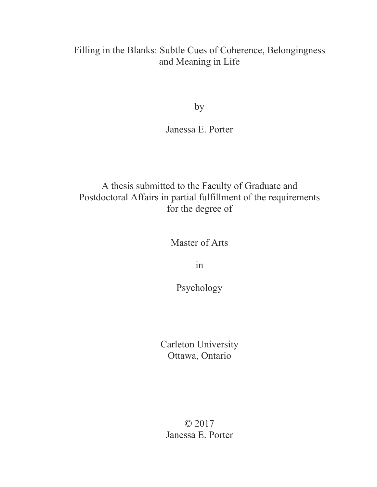# Filling in the Blanks: Subtle Cues of Coherence, Belongingness and Meaning in Life

by

Janessa E. Porter

# A thesis submitted to the Faculty of Graduate and Postdoctoral Affairs in partial fulfillment of the requirements for the degree of

Master of Arts

in

Psychology

Carleton University Ottawa, Ontario

© 2017 Janessa E. Porter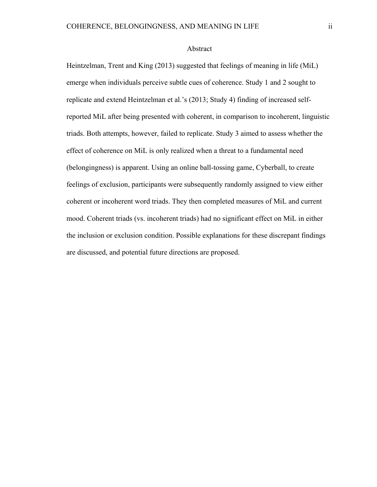#### Abstract

Heintzelman, Trent and King (2013) suggested that feelings of meaning in life (MiL) emerge when individuals perceive subtle cues of coherence. Study 1 and 2 sought to replicate and extend Heintzelman et al.'s (2013; Study 4) finding of increased selfreported MiL after being presented with coherent, in comparison to incoherent, linguistic triads. Both attempts, however, failed to replicate. Study 3 aimed to assess whether the effect of coherence on MiL is only realized when a threat to a fundamental need (belongingness) is apparent. Using an online ball-tossing game, Cyberball, to create feelings of exclusion, participants were subsequently randomly assigned to view either coherent or incoherent word triads. They then completed measures of MiL and current mood. Coherent triads (vs. incoherent triads) had no significant effect on MiL in either the inclusion or exclusion condition. Possible explanations for these discrepant findings are discussed, and potential future directions are proposed.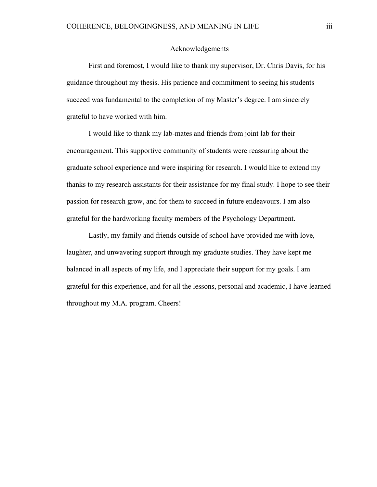# Acknowledgements

First and foremost, I would like to thank my supervisor, Dr. Chris Davis, for his guidance throughout my thesis. His patience and commitment to seeing his students succeed was fundamental to the completion of my Master's degree. I am sincerely grateful to have worked with him.

 I would like to thank my lab-mates and friends from joint lab for their encouragement. This supportive community of students were reassuring about the graduate school experience and were inspiring for research. I would like to extend my thanks to my research assistants for their assistance for my final study. I hope to see their passion for research grow, and for them to succeed in future endeavours. I am also grateful for the hardworking faculty members of the Psychology Department.

 Lastly, my family and friends outside of school have provided me with love, laughter, and unwavering support through my graduate studies. They have kept me balanced in all aspects of my life, and I appreciate their support for my goals. I am grateful for this experience, and for all the lessons, personal and academic, I have learned throughout my M.A. program. Cheers!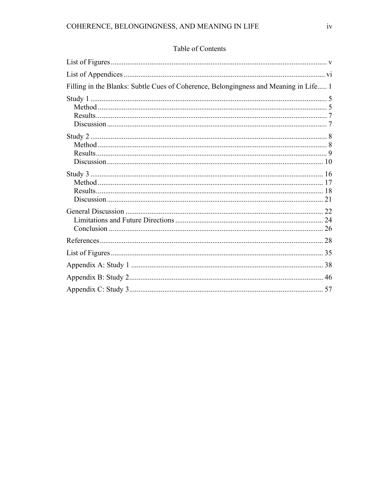| Filling in the Blanks: Subtle Cues of Coherence, Belongingness and Meaning in Life 1 |
|--------------------------------------------------------------------------------------|
|                                                                                      |
|                                                                                      |
|                                                                                      |
|                                                                                      |
|                                                                                      |
|                                                                                      |
|                                                                                      |
|                                                                                      |
|                                                                                      |
|                                                                                      |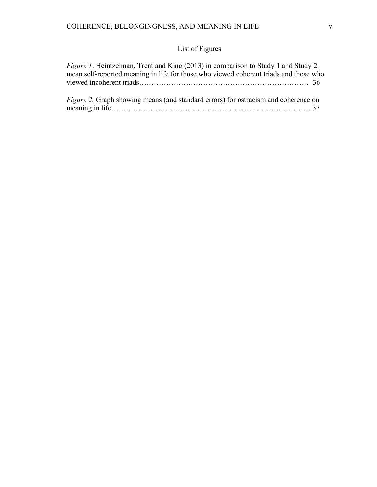# List of Figures

| <i>Figure 1.</i> Heintzelman, Trent and King (2013) in comparison to Study 1 and Study 2, |  |
|-------------------------------------------------------------------------------------------|--|
| mean self-reported meaning in life for those who viewed coherent triads and those who     |  |
|                                                                                           |  |
|                                                                                           |  |
| <i>Figure 2.</i> Graph showing means (and standard errors) for ostracism and coherence on |  |

meaning in life……………………………………………………………………… 37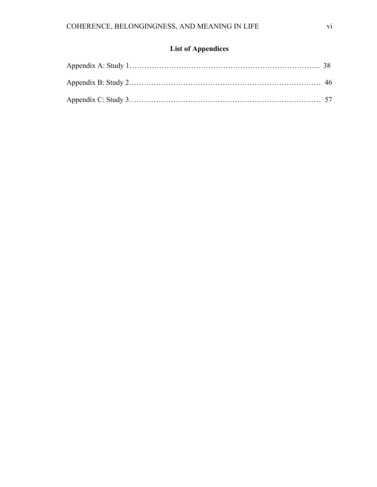# **List of Appendices**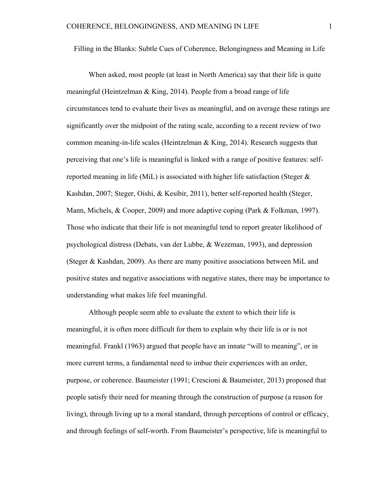Filling in the Blanks: Subtle Cues of Coherence, Belongingness and Meaning in Life

When asked, most people (at least in North America) say that their life is quite meaningful (Heintzelman & King, 2014). People from a broad range of life circumstances tend to evaluate their lives as meaningful, and on average these ratings are significantly over the midpoint of the rating scale, according to a recent review of two common meaning-in-life scales (Heintzelman & King, 2014). Research suggests that perceiving that one's life is meaningful is linked with a range of positive features: selfreported meaning in life (MiL) is associated with higher life satisfaction (Steger  $\&$ Kashdan, 2007; Steger, Oishi, & Kesibir, 2011), better self-reported health (Steger, Mann, Michels, & Cooper, 2009) and more adaptive coping (Park & Folkman, 1997). Those who indicate that their life is not meaningful tend to report greater likelihood of psychological distress (Debats, van der Lubbe, & Wezeman, 1993), and depression (Steger & Kashdan, 2009). As there are many positive associations between MiL and positive states and negative associations with negative states, there may be importance to understanding what makes life feel meaningful.

Although people seem able to evaluate the extent to which their life is meaningful, it is often more difficult for them to explain why their life is or is not meaningful. Frankl (1963) argued that people have an innate "will to meaning", or in more current terms, a fundamental need to imbue their experiences with an order, purpose, or coherence. Baumeister (1991; Crescioni & Baumeister, 2013) proposed that people satisfy their need for meaning through the construction of purpose (a reason for living), through living up to a moral standard, through perceptions of control or efficacy, and through feelings of self-worth. From Baumeister's perspective, life is meaningful to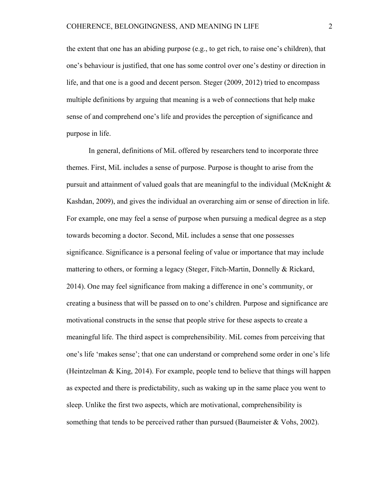the extent that one has an abiding purpose (e.g., to get rich, to raise one's children), that one's behaviour is justified, that one has some control over one's destiny or direction in life, and that one is a good and decent person. Steger (2009, 2012) tried to encompass multiple definitions by arguing that meaning is a web of connections that help make sense of and comprehend one's life and provides the perception of significance and purpose in life.

In general, definitions of MiL offered by researchers tend to incorporate three themes. First, MiL includes a sense of purpose. Purpose is thought to arise from the pursuit and attainment of valued goals that are meaningful to the individual (McKnight & Kashdan, 2009), and gives the individual an overarching aim or sense of direction in life. For example, one may feel a sense of purpose when pursuing a medical degree as a step towards becoming a doctor. Second, MiL includes a sense that one possesses significance. Significance is a personal feeling of value or importance that may include mattering to others, or forming a legacy (Steger, Fitch-Martin, Donnelly & Rickard, 2014). One may feel significance from making a difference in one's community, or creating a business that will be passed on to one's children. Purpose and significance are motivational constructs in the sense that people strive for these aspects to create a meaningful life. The third aspect is comprehensibility. MiL comes from perceiving that one's life 'makes sense'; that one can understand or comprehend some order in one's life (Heintzelman & King, 2014). For example, people tend to believe that things will happen as expected and there is predictability, such as waking up in the same place you went to sleep. Unlike the first two aspects, which are motivational, comprehensibility is something that tends to be perceived rather than pursued (Baumeister  $& Vohs, 2002$ ).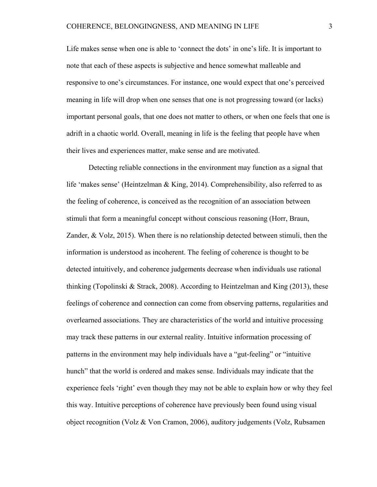Life makes sense when one is able to 'connect the dots' in one's life. It is important to note that each of these aspects is subjective and hence somewhat malleable and responsive to one's circumstances. For instance, one would expect that one's perceived meaning in life will drop when one senses that one is not progressing toward (or lacks) important personal goals, that one does not matter to others, or when one feels that one is adrift in a chaotic world. Overall, meaning in life is the feeling that people have when their lives and experiences matter, make sense and are motivated.

Detecting reliable connections in the environment may function as a signal that life 'makes sense' (Heintzelman & King, 2014). Comprehensibility, also referred to as the feeling of coherence, is conceived as the recognition of an association between stimuli that form a meaningful concept without conscious reasoning (Horr, Braun, Zander, & Volz, 2015). When there is no relationship detected between stimuli, then the information is understood as incoherent. The feeling of coherence is thought to be detected intuitively, and coherence judgements decrease when individuals use rational thinking (Topolinski & Strack, 2008). According to Heintzelman and King (2013), these feelings of coherence and connection can come from observing patterns, regularities and overlearned associations. They are characteristics of the world and intuitive processing may track these patterns in our external reality. Intuitive information processing of patterns in the environment may help individuals have a "gut-feeling" or "intuitive hunch" that the world is ordered and makes sense. Individuals may indicate that the experience feels 'right' even though they may not be able to explain how or why they feel this way. Intuitive perceptions of coherence have previously been found using visual object recognition (Volz & Von Cramon, 2006), auditory judgements (Volz, Rubsamen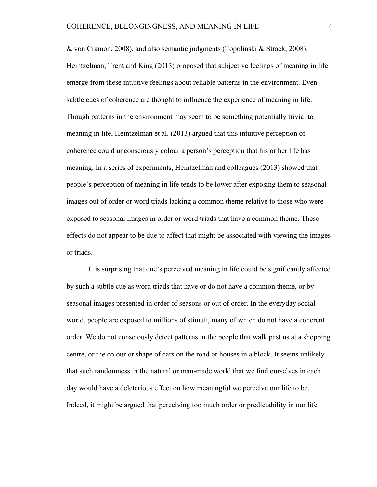& von Cramon, 2008), and also semantic judgments (Topolinski & Strack, 2008). Heintzelman, Trent and King (2013) proposed that subjective feelings of meaning in life emerge from these intuitive feelings about reliable patterns in the environment. Even subtle cues of coherence are thought to influence the experience of meaning in life. Though patterns in the environment may seem to be something potentially trivial to meaning in life, Heintzelman et al. (2013) argued that this intuitive perception of coherence could unconsciously colour a person's perception that his or her life has meaning. In a series of experiments, Heintzelman and colleagues (2013) showed that people's perception of meaning in life tends to be lower after exposing them to seasonal images out of order or word triads lacking a common theme relative to those who were exposed to seasonal images in order or word triads that have a common theme. These effects do not appear to be due to affect that might be associated with viewing the images or triads.

 It is surprising that one's perceived meaning in life could be significantly affected by such a subtle cue as word triads that have or do not have a common theme, or by seasonal images presented in order of seasons or out of order. In the everyday social world, people are exposed to millions of stimuli, many of which do not have a coherent order. We do not consciously detect patterns in the people that walk past us at a shopping centre, or the colour or shape of cars on the road or houses in a block. It seems unlikely that such randomness in the natural or man-made world that we find ourselves in each day would have a deleterious effect on how meaningful we perceive our life to be. Indeed, it might be argued that perceiving too much order or predictability in our life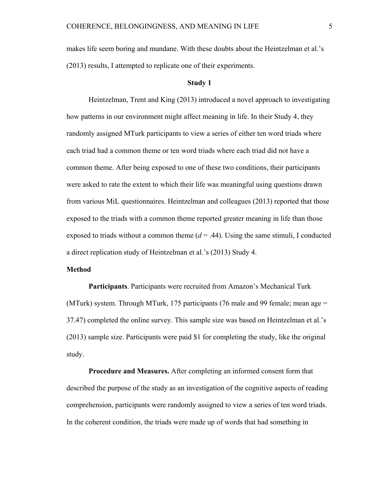makes life seem boring and mundane. With these doubts about the Heintzelman et al.'s (2013) results, I attempted to replicate one of their experiments.

## **Study 1**

Heintzelman, Trent and King (2013) introduced a novel approach to investigating how patterns in our environment might affect meaning in life. In their Study 4, they randomly assigned MTurk participants to view a series of either ten word triads where each triad had a common theme or ten word triads where each triad did not have a common theme. After being exposed to one of these two conditions, their participants were asked to rate the extent to which their life was meaningful using questions drawn from various MiL questionnaires. Heintzelman and colleagues (2013) reported that those exposed to the triads with a common theme reported greater meaning in life than those exposed to triads without a common theme  $(d = .44)$ . Using the same stimuli, I conducted a direct replication study of Heintzelman et al.'s (2013) Study 4.

#### **Method**

**Participants**. Participants were recruited from Amazon's Mechanical Turk (MTurk) system. Through MTurk, 175 participants (76 male and 99 female; mean age = 37.47) completed the online survey. This sample size was based on Heintzelman et al.'s (2013) sample size. Participants were paid \$1 for completing the study, like the original study.

**Procedure and Measures.** After completing an informed consent form that described the purpose of the study as an investigation of the cognitive aspects of reading comprehension, participants were randomly assigned to view a series of ten word triads. In the coherent condition, the triads were made up of words that had something in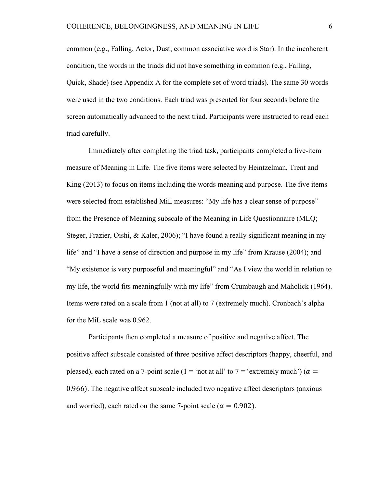common (e.g., Falling, Actor, Dust; common associative word is Star). In the incoherent condition, the words in the triads did not have something in common (e.g., Falling, Quick, Shade) (see Appendix A for the complete set of word triads). The same 30 words were used in the two conditions. Each triad was presented for four seconds before the screen automatically advanced to the next triad. Participants were instructed to read each triad carefully.

Immediately after completing the triad task, participants completed a five-item measure of Meaning in Life. The five items were selected by Heintzelman, Trent and King (2013) to focus on items including the words meaning and purpose. The five items were selected from established MiL measures: "My life has a clear sense of purpose" from the Presence of Meaning subscale of the Meaning in Life Questionnaire (MLQ; Steger, Frazier, Oishi, & Kaler, 2006); "I have found a really significant meaning in my life" and "I have a sense of direction and purpose in my life" from Krause (2004); and "My existence is very purposeful and meaningful" and "As I view the world in relation to my life, the world fits meaningfully with my life" from Crumbaugh and Maholick (1964). Items were rated on a scale from 1 (not at all) to 7 (extremely much). Cronbach's alpha for the MiL scale was 0.962.

Participants then completed a measure of positive and negative affect. The positive affect subscale consisted of three positive affect descriptors (happy, cheerful, and pleased), each rated on a 7-point scale (1 = 'not at all' to 7 = 'extremely much') ( $\alpha$  = 0.966). The negative affect subscale included two negative affect descriptors (anxious and worried), each rated on the same 7-point scale ( $\alpha = 0.902$ ).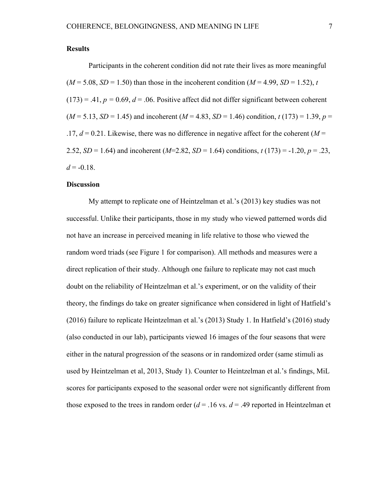Participants in the coherent condition did not rate their lives as more meaningful  $(M = 5.08, SD = 1.50)$  than those in the incoherent condition  $(M = 4.99, SD = 1.52)$ , *t*  $(173) = .41, p = 0.69, d = .06$ . Positive affect did not differ significant between coherent  $(M = 5.13, SD = 1.45)$  and incoherent  $(M = 4.83, SD = 1.46)$  condition,  $t(173) = 1.39, p =$  $.17, d = 0.21$ . Likewise, there was no difference in negative affect for the coherent ( $M = 1$ 2.52, *SD* = 1.64) and incoherent (*M*=2.82, *SD* = 1.64) conditions,  $t(173) = -1.20$ ,  $p = .23$ ,  $d = -0.18$ .

# **Discussion**

My attempt to replicate one of Heintzelman et al.'s (2013) key studies was not successful. Unlike their participants, those in my study who viewed patterned words did not have an increase in perceived meaning in life relative to those who viewed the random word triads (see Figure 1 for comparison). All methods and measures were a direct replication of their study. Although one failure to replicate may not cast much doubt on the reliability of Heintzelman et al.'s experiment, or on the validity of their theory, the findings do take on greater significance when considered in light of Hatfield's (2016) failure to replicate Heintzelman et al.'s (2013) Study 1. In Hatfield's (2016) study (also conducted in our lab), participants viewed 16 images of the four seasons that were either in the natural progression of the seasons or in randomized order (same stimuli as used by Heintzelman et al, 2013, Study 1). Counter to Heintzelman et al.'s findings, MiL scores for participants exposed to the seasonal order were not significantly different from those exposed to the trees in random order  $(d = .16 \text{ vs. } d = .49 \text{ reported in Heintzelman et }$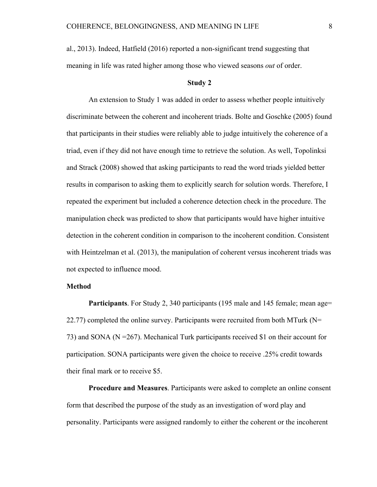al., 2013). Indeed, Hatfield (2016) reported a non-significant trend suggesting that meaning in life was rated higher among those who viewed seasons *out* of order.

#### **Study 2**

An extension to Study 1 was added in order to assess whether people intuitively discriminate between the coherent and incoherent triads. Bolte and Goschke (2005) found that participants in their studies were reliably able to judge intuitively the coherence of a triad, even if they did not have enough time to retrieve the solution. As well, Topolinksi and Strack (2008) showed that asking participants to read the word triads yielded better results in comparison to asking them to explicitly search for solution words. Therefore, I repeated the experiment but included a coherence detection check in the procedure. The manipulation check was predicted to show that participants would have higher intuitive detection in the coherent condition in comparison to the incoherent condition. Consistent with Heintzelman et al. (2013), the manipulation of coherent versus incoherent triads was not expected to influence mood.

#### **Method**

**Participants**. For Study 2, 340 participants (195 male and 145 female; mean age= 22.77) completed the online survey. Participants were recruited from both MTurk ( $N=$ 73) and SONA (N =267). Mechanical Turk participants received \$1 on their account for participation. SONA participants were given the choice to receive .25% credit towards their final mark or to receive \$5.

**Procedure and Measures**. Participants were asked to complete an online consent form that described the purpose of the study as an investigation of word play and personality. Participants were assigned randomly to either the coherent or the incoherent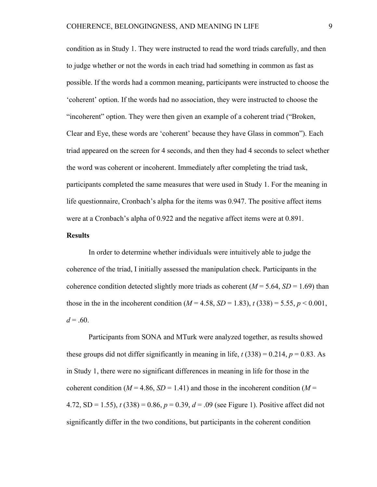condition as in Study 1. They were instructed to read the word triads carefully, and then to judge whether or not the words in each triad had something in common as fast as possible. If the words had a common meaning, participants were instructed to choose the 'coherent' option. If the words had no association, they were instructed to choose the "incoherent" option. They were then given an example of a coherent triad ("Broken, Clear and Eye, these words are 'coherent' because they have Glass in common"). Each triad appeared on the screen for 4 seconds, and then they had 4 seconds to select whether the word was coherent or incoherent. Immediately after completing the triad task, participants completed the same measures that were used in Study 1. For the meaning in life questionnaire, Cronbach's alpha for the items was 0.947. The positive affect items were at a Cronbach's alpha of 0.922 and the negative affect items were at 0.891.

# **Results**

In order to determine whether individuals were intuitively able to judge the coherence of the triad, I initially assessed the manipulation check. Participants in the coherence condition detected slightly more triads as coherent  $(M = 5.64, SD = 1.69)$  than those in the in the incoherent condition  $(M = 4.58, SD = 1.83)$ ,  $t(338) = 5.55, p < 0.001$ ,  $d = .60$ .

Participants from SONA and MTurk were analyzed together, as results showed these groups did not differ significantly in meaning in life,  $t(338) = 0.214$ ,  $p = 0.83$ . As in Study 1, there were no significant differences in meaning in life for those in the coherent condition ( $M = 4.86$ ,  $SD = 1.41$ ) and those in the incoherent condition ( $M =$ 4.72, SD = 1.55), *t* (338) = 0.86, *p* = 0.39, *d* = .09 (see Figure 1). Positive affect did not significantly differ in the two conditions, but participants in the coherent condition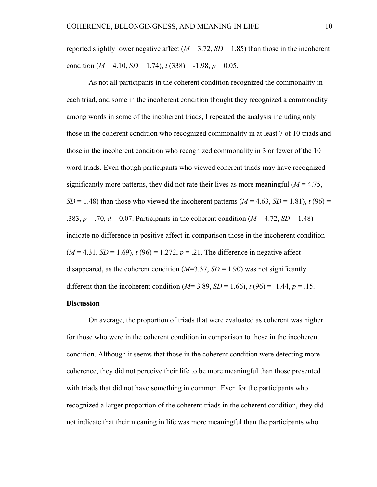reported slightly lower negative affect  $(M = 3.72, SD = 1.85)$  than those in the incoherent condition  $(M = 4.10, SD = 1.74), t(338) = -1.98, p = 0.05.$ 

 As not all participants in the coherent condition recognized the commonality in each triad, and some in the incoherent condition thought they recognized a commonality among words in some of the incoherent triads, I repeated the analysis including only those in the coherent condition who recognized commonality in at least 7 of 10 triads and those in the incoherent condition who recognized commonality in 3 or fewer of the 10 word triads. Even though participants who viewed coherent triads may have recognized significantly more patterns, they did not rate their lives as more meaningful  $(M = 4.75)$ ,  $SD = 1.48$ ) than those who viewed the incoherent patterns  $(M = 4.63, SD = 1.81)$ ,  $t(96) =$ .383,  $p = .70$ ,  $d = 0.07$ . Participants in the coherent condition ( $M = 4.72$ ,  $SD = 1.48$ ) indicate no difference in positive affect in comparison those in the incoherent condition  $(M = 4.31, SD = 1.69)$ ,  $t(96) = 1.272$ ,  $p = .21$ . The difference in negative affect disappeared, as the coherent condition  $(M=3.37, SD=1.90)$  was not significantly different than the incoherent condition ( $M=3.89$ ,  $SD = 1.66$ ),  $t(96) = -1.44$ ,  $p = .15$ .

## **Discussion**

 On average, the proportion of triads that were evaluated as coherent was higher for those who were in the coherent condition in comparison to those in the incoherent condition. Although it seems that those in the coherent condition were detecting more coherence, they did not perceive their life to be more meaningful than those presented with triads that did not have something in common. Even for the participants who recognized a larger proportion of the coherent triads in the coherent condition, they did not indicate that their meaning in life was more meaningful than the participants who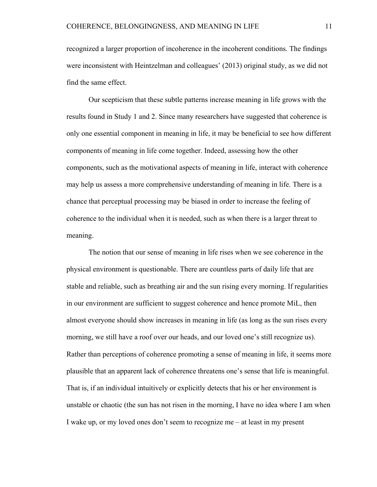recognized a larger proportion of incoherence in the incoherent conditions. The findings were inconsistent with Heintzelman and colleagues' (2013) original study, as we did not find the same effect.

 Our scepticism that these subtle patterns increase meaning in life grows with the results found in Study 1 and 2. Since many researchers have suggested that coherence is only one essential component in meaning in life, it may be beneficial to see how different components of meaning in life come together. Indeed, assessing how the other components, such as the motivational aspects of meaning in life, interact with coherence may help us assess a more comprehensive understanding of meaning in life. There is a chance that perceptual processing may be biased in order to increase the feeling of coherence to the individual when it is needed, such as when there is a larger threat to meaning.

The notion that our sense of meaning in life rises when we see coherence in the physical environment is questionable. There are countless parts of daily life that are stable and reliable, such as breathing air and the sun rising every morning. If regularities in our environment are sufficient to suggest coherence and hence promote MiL, then almost everyone should show increases in meaning in life (as long as the sun rises every morning, we still have a roof over our heads, and our loved one's still recognize us). Rather than perceptions of coherence promoting a sense of meaning in life, it seems more plausible that an apparent lack of coherence threatens one's sense that life is meaningful. That is, if an individual intuitively or explicitly detects that his or her environment is unstable or chaotic (the sun has not risen in the morning, I have no idea where I am when I wake up, or my loved ones don't seem to recognize me – at least in my present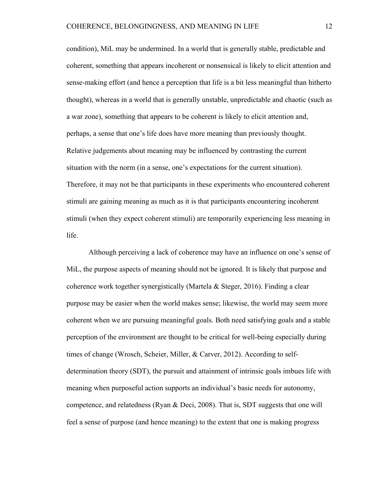condition), MiL may be undermined. In a world that is generally stable, predictable and coherent, something that appears incoherent or nonsensical is likely to elicit attention and sense-making effort (and hence a perception that life is a bit less meaningful than hitherto thought), whereas in a world that is generally unstable, unpredictable and chaotic (such as a war zone), something that appears to be coherent is likely to elicit attention and, perhaps, a sense that one's life does have more meaning than previously thought. Relative judgements about meaning may be influenced by contrasting the current situation with the norm (in a sense, one's expectations for the current situation). Therefore, it may not be that participants in these experiments who encountered coherent stimuli are gaining meaning as much as it is that participants encountering incoherent stimuli (when they expect coherent stimuli) are temporarily experiencing less meaning in life.

Although perceiving a lack of coherence may have an influence on one's sense of MiL, the purpose aspects of meaning should not be ignored. It is likely that purpose and coherence work together synergistically (Martela & Steger, 2016). Finding a clear purpose may be easier when the world makes sense; likewise, the world may seem more coherent when we are pursuing meaningful goals. Both need satisfying goals and a stable perception of the environment are thought to be critical for well-being especially during times of change (Wrosch, Scheier, Miller, & Carver, 2012). According to selfdetermination theory (SDT), the pursuit and attainment of intrinsic goals imbues life with meaning when purposeful action supports an individual's basic needs for autonomy, competence, and relatedness (Ryan & Deci, 2008). That is, SDT suggests that one will feel a sense of purpose (and hence meaning) to the extent that one is making progress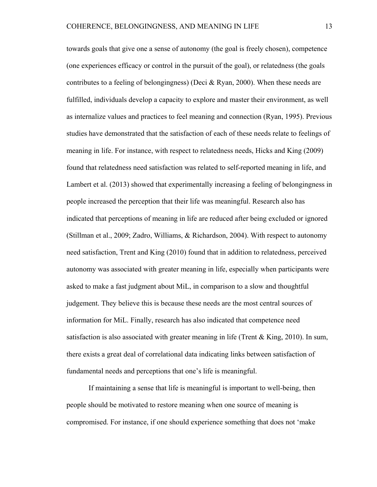towards goals that give one a sense of autonomy (the goal is freely chosen), competence (one experiences efficacy or control in the pursuit of the goal), or relatedness (the goals contributes to a feeling of belongingness) (Deci & Ryan, 2000). When these needs are fulfilled, individuals develop a capacity to explore and master their environment, as well as internalize values and practices to feel meaning and connection (Ryan, 1995). Previous studies have demonstrated that the satisfaction of each of these needs relate to feelings of meaning in life. For instance, with respect to relatedness needs, Hicks and King (2009) found that relatedness need satisfaction was related to self-reported meaning in life, and Lambert et al. (2013) showed that experimentally increasing a feeling of belongingness in people increased the perception that their life was meaningful. Research also has indicated that perceptions of meaning in life are reduced after being excluded or ignored (Stillman et al., 2009; Zadro, Williams, & Richardson, 2004). With respect to autonomy need satisfaction, Trent and King (2010) found that in addition to relatedness, perceived autonomy was associated with greater meaning in life, especially when participants were asked to make a fast judgment about MiL, in comparison to a slow and thoughtful judgement. They believe this is because these needs are the most central sources of information for MiL. Finally, research has also indicated that competence need satisfaction is also associated with greater meaning in life (Trent & King, 2010). In sum, there exists a great deal of correlational data indicating links between satisfaction of fundamental needs and perceptions that one's life is meaningful.

If maintaining a sense that life is meaningful is important to well-being, then people should be motivated to restore meaning when one source of meaning is compromised. For instance, if one should experience something that does not 'make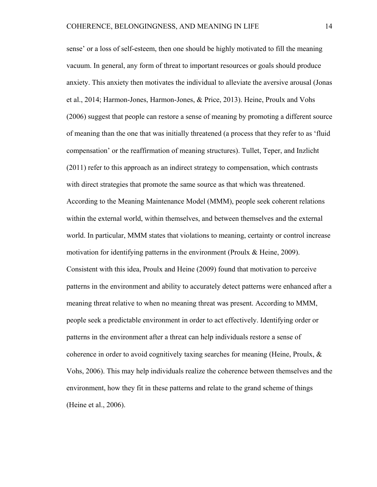sense' or a loss of self-esteem, then one should be highly motivated to fill the meaning vacuum. In general, any form of threat to important resources or goals should produce anxiety. This anxiety then motivates the individual to alleviate the aversive arousal (Jonas et al., 2014; Harmon-Jones, Harmon-Jones, & Price, 2013). Heine, Proulx and Vohs (2006) suggest that people can restore a sense of meaning by promoting a different source of meaning than the one that was initially threatened (a process that they refer to as 'fluid compensation' or the reaffirmation of meaning structures). Tullet, Teper, and Inzlicht (2011) refer to this approach as an indirect strategy to compensation, which contrasts with direct strategies that promote the same source as that which was threatened. According to the Meaning Maintenance Model (MMM), people seek coherent relations within the external world, within themselves, and between themselves and the external world. In particular, MMM states that violations to meaning, certainty or control increase motivation for identifying patterns in the environment (Proulx & Heine, 2009). Consistent with this idea, Proulx and Heine (2009) found that motivation to perceive patterns in the environment and ability to accurately detect patterns were enhanced after a meaning threat relative to when no meaning threat was present. According to MMM, people seek a predictable environment in order to act effectively. Identifying order or patterns in the environment after a threat can help individuals restore a sense of coherence in order to avoid cognitively taxing searches for meaning (Heine, Proulx, & Vohs, 2006). This may help individuals realize the coherence between themselves and the environment, how they fit in these patterns and relate to the grand scheme of things (Heine et al., 2006).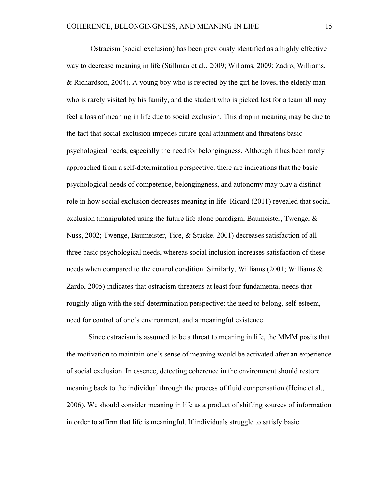Ostracism (social exclusion) has been previously identified as a highly effective way to decrease meaning in life (Stillman et al., 2009; Willams, 2009; Zadro, Williams, & Richardson, 2004). A young boy who is rejected by the girl he loves, the elderly man who is rarely visited by his family, and the student who is picked last for a team all may feel a loss of meaning in life due to social exclusion. This drop in meaning may be due to the fact that social exclusion impedes future goal attainment and threatens basic psychological needs, especially the need for belongingness. Although it has been rarely approached from a self-determination perspective, there are indications that the basic psychological needs of competence, belongingness, and autonomy may play a distinct role in how social exclusion decreases meaning in life. Ricard (2011) revealed that social exclusion (manipulated using the future life alone paradigm; Baumeister, Twenge,  $\&$ Nuss, 2002; Twenge, Baumeister, Tice, & Stucke, 2001) decreases satisfaction of all three basic psychological needs, whereas social inclusion increases satisfaction of these needs when compared to the control condition. Similarly, Williams (2001; Williams & Zardo, 2005) indicates that ostracism threatens at least four fundamental needs that roughly align with the self-determination perspective: the need to belong, self-esteem, need for control of one's environment, and a meaningful existence.

 Since ostracism is assumed to be a threat to meaning in life, the MMM posits that the motivation to maintain one's sense of meaning would be activated after an experience of social exclusion. In essence, detecting coherence in the environment should restore meaning back to the individual through the process of fluid compensation (Heine et al., 2006). We should consider meaning in life as a product of shifting sources of information in order to affirm that life is meaningful. If individuals struggle to satisfy basic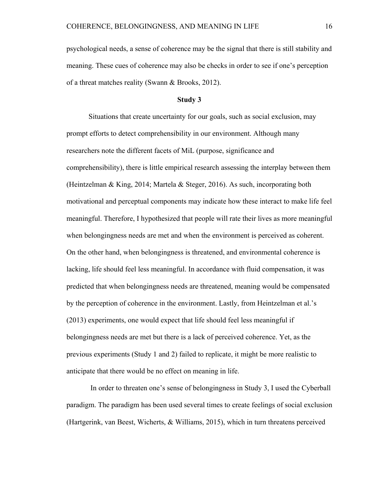psychological needs, a sense of coherence may be the signal that there is still stability and meaning. These cues of coherence may also be checks in order to see if one's perception of a threat matches reality (Swann & Brooks, 2012).

### **Study 3**

Situations that create uncertainty for our goals, such as social exclusion, may prompt efforts to detect comprehensibility in our environment. Although many researchers note the different facets of MiL (purpose, significance and comprehensibility), there is little empirical research assessing the interplay between them (Heintzelman & King, 2014; Martela & Steger, 2016). As such, incorporating both motivational and perceptual components may indicate how these interact to make life feel meaningful. Therefore, I hypothesized that people will rate their lives as more meaningful when belongingness needs are met and when the environment is perceived as coherent. On the other hand, when belongingness is threatened, and environmental coherence is lacking, life should feel less meaningful. In accordance with fluid compensation, it was predicted that when belongingness needs are threatened, meaning would be compensated by the perception of coherence in the environment. Lastly, from Heintzelman et al.'s (2013) experiments, one would expect that life should feel less meaningful if belongingness needs are met but there is a lack of perceived coherence. Yet, as the previous experiments (Study 1 and 2) failed to replicate, it might be more realistic to anticipate that there would be no effect on meaning in life.

 In order to threaten one's sense of belongingness in Study 3, I used the Cyberball paradigm. The paradigm has been used several times to create feelings of social exclusion (Hartgerink, van Beest, Wicherts, & Williams, 2015), which in turn threatens perceived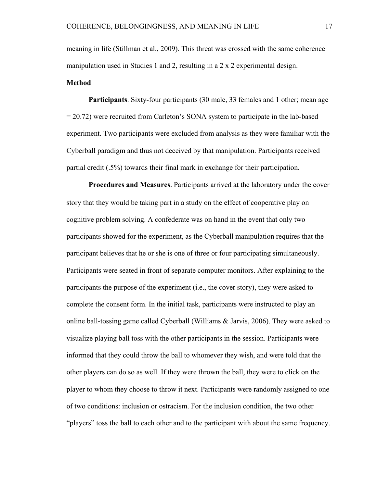meaning in life (Stillman et al., 2009). This threat was crossed with the same coherence manipulation used in Studies 1 and 2, resulting in a 2 x 2 experimental design. **Method** 

**Participants**. Sixty-four participants (30 male, 33 females and 1 other; mean age = 20.72) were recruited from Carleton's SONA system to participate in the lab-based experiment. Two participants were excluded from analysis as they were familiar with the Cyberball paradigm and thus not deceived by that manipulation. Participants received partial credit (.5%) towards their final mark in exchange for their participation.

**Procedures and Measures**. Participants arrived at the laboratory under the cover story that they would be taking part in a study on the effect of cooperative play on cognitive problem solving. A confederate was on hand in the event that only two participants showed for the experiment, as the Cyberball manipulation requires that the participant believes that he or she is one of three or four participating simultaneously. Participants were seated in front of separate computer monitors. After explaining to the participants the purpose of the experiment (i.e., the cover story), they were asked to complete the consent form. In the initial task, participants were instructed to play an online ball-tossing game called Cyberball (Williams & Jarvis, 2006). They were asked to visualize playing ball toss with the other participants in the session. Participants were informed that they could throw the ball to whomever they wish, and were told that the other players can do so as well. If they were thrown the ball, they were to click on the player to whom they choose to throw it next. Participants were randomly assigned to one of two conditions: inclusion or ostracism. For the inclusion condition, the two other "players" toss the ball to each other and to the participant with about the same frequency.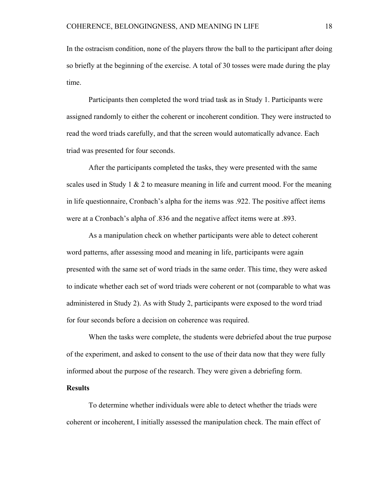In the ostracism condition, none of the players throw the ball to the participant after doing so briefly at the beginning of the exercise. A total of 30 tosses were made during the play time.

Participants then completed the word triad task as in Study 1. Participants were assigned randomly to either the coherent or incoherent condition. They were instructed to read the word triads carefully, and that the screen would automatically advance. Each triad was presented for four seconds.

After the participants completed the tasks, they were presented with the same scales used in Study 1  $\&$  2 to measure meaning in life and current mood. For the meaning in life questionnaire, Cronbach's alpha for the items was .922. The positive affect items were at a Cronbach's alpha of .836 and the negative affect items were at .893.

As a manipulation check on whether participants were able to detect coherent word patterns, after assessing mood and meaning in life, participants were again presented with the same set of word triads in the same order. This time, they were asked to indicate whether each set of word triads were coherent or not (comparable to what was administered in Study 2). As with Study 2, participants were exposed to the word triad for four seconds before a decision on coherence was required.

When the tasks were complete, the students were debriefed about the true purpose of the experiment, and asked to consent to the use of their data now that they were fully informed about the purpose of the research. They were given a debriefing form.

# **Results**

To determine whether individuals were able to detect whether the triads were coherent or incoherent, I initially assessed the manipulation check. The main effect of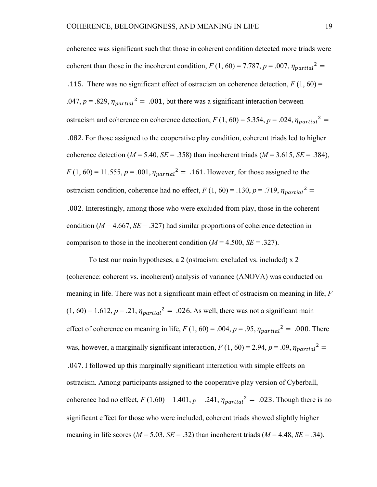coherence was significant such that those in coherent condition detected more triads were coherent than those in the incoherent condition,  $F(1, 60) = 7.787$ ,  $p = .007$ ,  $\eta_{partial}^2 =$ .115. There was no significant effect of ostracism on coherence detection,  $F(1, 60) =$ .047,  $p = .829$ ,  $\eta_{partial}^2 = .001$ , but there was a significant interaction between ostracism and coherence on coherence detection,  $F(1, 60) = 5.354$ ,  $p = .024$ ,  $\eta_{partial}^2 =$  .082. For those assigned to the cooperative play condition, coherent triads led to higher coherence detection ( $M = 5.40$ ,  $SE = .358$ ) than incoherent triads ( $M = 3.615$ ,  $SE = .384$ ),  $F(1, 60) = 11.555, p = .001, \eta_{partial}^2 = .161$ . However, for those assigned to the ostracism condition, coherence had no effect,  $F(1, 60) = .130$ ,  $p = .719$ ,  $\eta_{partial}^2 =$  .002. Interestingly, among those who were excluded from play, those in the coherent condition ( $M = 4.667$ ,  $SE = .327$ ) had similar proportions of coherence detection in comparison to those in the incoherent condition  $(M = 4.500, SE = .327)$ .

To test our main hypotheses, a 2 (ostracism: excluded vs. included) x 2 (coherence: coherent vs. incoherent) analysis of variance (ANOVA) was conducted on meaning in life. There was not a significant main effect of ostracism on meaning in life, *F*   $(1, 60) = 1.612$ ,  $p = .21$ ,  $\eta_{partial}^2 = .026$ . As well, there was not a significant main effect of coherence on meaning in life,  $F(1, 60) = .004$ ,  $p = .95$ ,  $\eta_{partial}^2 = .000$ . There was, however, a marginally significant interaction,  $F(1, 60) = 2.94$ ,  $p = .09$ ,  $\eta_{partial}^2 =$  .047. I followed up this marginally significant interaction with simple effects on ostracism. Among participants assigned to the cooperative play version of Cyberball, coherence had no effect,  $F(1,60) = 1.401$ ,  $p = .241$ ,  $\eta_{partial}^2 = .023$ . Though there is no significant effect for those who were included, coherent triads showed slightly higher meaning in life scores ( $M = 5.03$ ,  $SE = .32$ ) than incoherent triads ( $M = 4.48$ ,  $SE = .34$ ).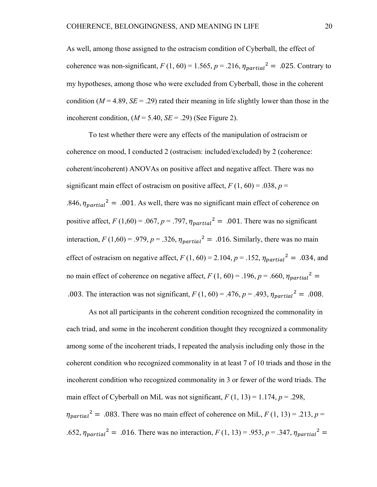As well, among those assigned to the ostracism condition of Cyberball, the effect of coherence was non-significant,  $F(1, 60) = 1.565$ ,  $p = .216$ ,  $\eta_{partial}^2 = .025$ . Contrary to my hypotheses, among those who were excluded from Cyberball, those in the coherent condition ( $M = 4.89$ ,  $SE = .29$ ) rated their meaning in life slightly lower than those in the incoherent condition,  $(M = 5.40, SE = .29)$  (See Figure 2).

 To test whether there were any effects of the manipulation of ostracism or coherence on mood, I conducted 2 (ostracism: included/excluded) by 2 (coherence: coherent/incoherent) ANOVAs on positive affect and negative affect. There was no significant main effect of ostracism on positive affect,  $F(1, 60) = .038$ ,  $p =$ .846,  $\eta_{partial}^2 = .001$ . As well, there was no significant main effect of coherence on positive affect,  $F(1,60) = .067$ ,  $p = .797$ ,  $\eta_{partial}^2 = .001$ . There was no significant interaction,  $F(1,60) = .979$ ,  $p = .326$ ,  $\eta_{partial}^2 = .016$ . Similarly, there was no main effect of ostracism on negative affect,  $F(1, 60) = 2.104$ ,  $p = .152$ ,  $\eta_{partial}^2 = .034$ , and no main effect of coherence on negative affect,  $F(1, 60) = .196$ ,  $p = .660$ ,  $\eta_{partial}^2 =$ .003. The interaction was not significant,  $F(1, 60) = .476$ ,  $p = .493$ ,  $\eta_{partial}^2 = .008$ .

As not all participants in the coherent condition recognized the commonality in each triad, and some in the incoherent condition thought they recognized a commonality among some of the incoherent triads, I repeated the analysis including only those in the coherent condition who recognized commonality in at least 7 of 10 triads and those in the incoherent condition who recognized commonality in 3 or fewer of the word triads. The main effect of Cyberball on MiL was not significant,  $F(1, 13) = 1.174$ ,  $p = .298$ ,  $n_{partial}^2$  = .083. There was no main effect of coherence on MiL,  $F(1, 13) = .213$ ,  $p =$ .652,  $\eta_{partial}^2 = .016$ . There was no interaction,  $F(1, 13) = .953$ ,  $p = .347$ ,  $\eta_{partial}^2 =$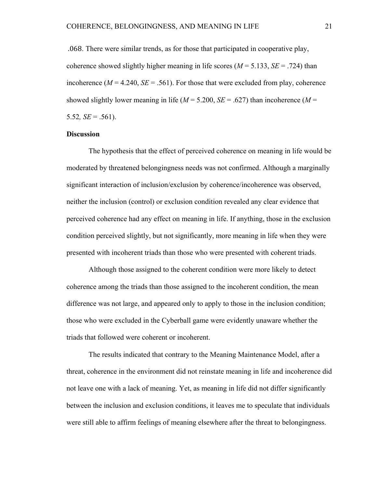.068. There were similar trends, as for those that participated in cooperative play, coherence showed slightly higher meaning in life scores  $(M = 5.133, SE = .724)$  than incoherence ( $M = 4.240$ ,  $SE = .561$ ). For those that were excluded from play, coherence showed slightly lower meaning in life  $(M = 5.200, SE = .627)$  than incoherence  $(M = 1000)$ 5.52,  $SE = .561$ ).

#### **Discussion**

The hypothesis that the effect of perceived coherence on meaning in life would be moderated by threatened belongingness needs was not confirmed. Although a marginally significant interaction of inclusion/exclusion by coherence/incoherence was observed, neither the inclusion (control) or exclusion condition revealed any clear evidence that perceived coherence had any effect on meaning in life. If anything, those in the exclusion condition perceived slightly, but not significantly, more meaning in life when they were presented with incoherent triads than those who were presented with coherent triads.

 Although those assigned to the coherent condition were more likely to detect coherence among the triads than those assigned to the incoherent condition, the mean difference was not large, and appeared only to apply to those in the inclusion condition; those who were excluded in the Cyberball game were evidently unaware whether the triads that followed were coherent or incoherent.

The results indicated that contrary to the Meaning Maintenance Model, after a threat, coherence in the environment did not reinstate meaning in life and incoherence did not leave one with a lack of meaning. Yet, as meaning in life did not differ significantly between the inclusion and exclusion conditions, it leaves me to speculate that individuals were still able to affirm feelings of meaning elsewhere after the threat to belongingness.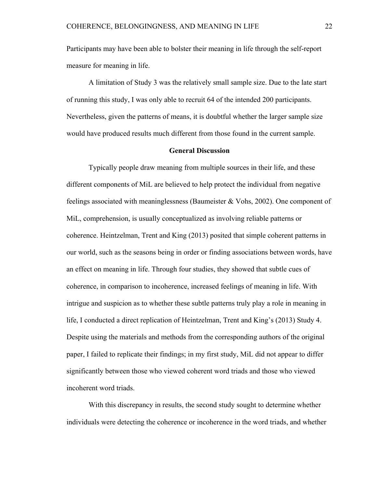Participants may have been able to bolster their meaning in life through the self-report measure for meaning in life.

 A limitation of Study 3 was the relatively small sample size. Due to the late start of running this study, I was only able to recruit 64 of the intended 200 participants. Nevertheless, given the patterns of means, it is doubtful whether the larger sample size would have produced results much different from those found in the current sample.

#### **General Discussion**

 Typically people draw meaning from multiple sources in their life, and these different components of MiL are believed to help protect the individual from negative feelings associated with meaninglessness (Baumeister & Vohs, 2002). One component of MiL, comprehension, is usually conceptualized as involving reliable patterns or coherence. Heintzelman, Trent and King (2013) posited that simple coherent patterns in our world, such as the seasons being in order or finding associations between words, have an effect on meaning in life. Through four studies, they showed that subtle cues of coherence, in comparison to incoherence, increased feelings of meaning in life. With intrigue and suspicion as to whether these subtle patterns truly play a role in meaning in life, I conducted a direct replication of Heintzelman, Trent and King's (2013) Study 4. Despite using the materials and methods from the corresponding authors of the original paper, I failed to replicate their findings; in my first study, MiL did not appear to differ significantly between those who viewed coherent word triads and those who viewed incoherent word triads.

With this discrepancy in results, the second study sought to determine whether individuals were detecting the coherence or incoherence in the word triads, and whether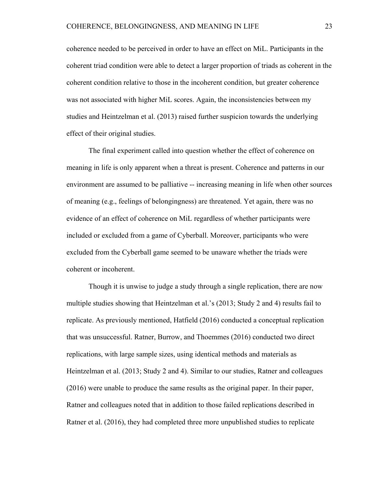coherence needed to be perceived in order to have an effect on MiL. Participants in the coherent triad condition were able to detect a larger proportion of triads as coherent in the coherent condition relative to those in the incoherent condition, but greater coherence was not associated with higher MiL scores. Again, the inconsistencies between my studies and Heintzelman et al. (2013) raised further suspicion towards the underlying effect of their original studies.

The final experiment called into question whether the effect of coherence on meaning in life is only apparent when a threat is present. Coherence and patterns in our environment are assumed to be palliative -- increasing meaning in life when other sources of meaning (e.g., feelings of belongingness) are threatened. Yet again, there was no evidence of an effect of coherence on MiL regardless of whether participants were included or excluded from a game of Cyberball. Moreover, participants who were excluded from the Cyberball game seemed to be unaware whether the triads were coherent or incoherent.

Though it is unwise to judge a study through a single replication, there are now multiple studies showing that Heintzelman et al.'s (2013; Study 2 and 4) results fail to replicate. As previously mentioned, Hatfield (2016) conducted a conceptual replication that was unsuccessful. Ratner, Burrow, and Thoemmes (2016) conducted two direct replications, with large sample sizes, using identical methods and materials as Heintzelman et al. (2013; Study 2 and 4). Similar to our studies, Ratner and colleagues (2016) were unable to produce the same results as the original paper. In their paper, Ratner and colleagues noted that in addition to those failed replications described in Ratner et al. (2016), they had completed three more unpublished studies to replicate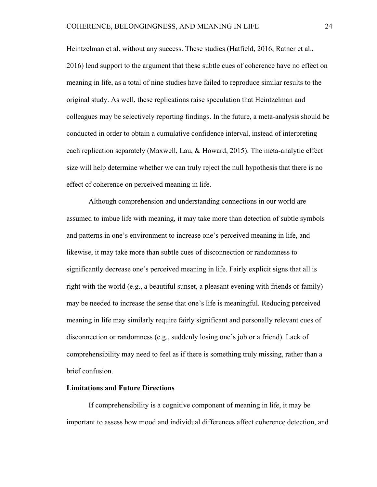Heintzelman et al. without any success. These studies (Hatfield, 2016; Ratner et al., 2016) lend support to the argument that these subtle cues of coherence have no effect on meaning in life, as a total of nine studies have failed to reproduce similar results to the original study. As well, these replications raise speculation that Heintzelman and colleagues may be selectively reporting findings. In the future, a meta-analysis should be conducted in order to obtain a cumulative confidence interval, instead of interpreting each replication separately (Maxwell, Lau, & Howard, 2015). The meta-analytic effect size will help determine whether we can truly reject the null hypothesis that there is no effect of coherence on perceived meaning in life.

 Although comprehension and understanding connections in our world are assumed to imbue life with meaning, it may take more than detection of subtle symbols and patterns in one's environment to increase one's perceived meaning in life, and likewise, it may take more than subtle cues of disconnection or randomness to significantly decrease one's perceived meaning in life. Fairly explicit signs that all is right with the world (e.g., a beautiful sunset, a pleasant evening with friends or family) may be needed to increase the sense that one's life is meaningful. Reducing perceived meaning in life may similarly require fairly significant and personally relevant cues of disconnection or randomness (e.g., suddenly losing one's job or a friend). Lack of comprehensibility may need to feel as if there is something truly missing, rather than a brief confusion.

#### **Limitations and Future Directions**

If comprehensibility is a cognitive component of meaning in life, it may be important to assess how mood and individual differences affect coherence detection, and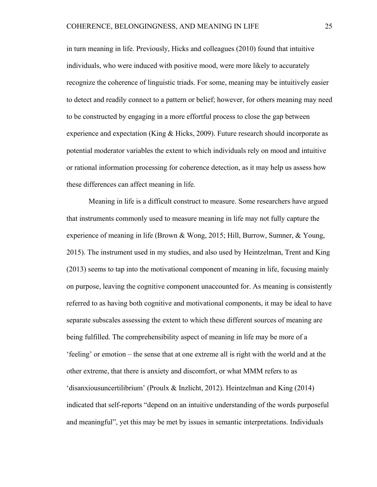in turn meaning in life. Previously, Hicks and colleagues (2010) found that intuitive individuals, who were induced with positive mood, were more likely to accurately recognize the coherence of linguistic triads. For some, meaning may be intuitively easier to detect and readily connect to a pattern or belief; however, for others meaning may need to be constructed by engaging in a more effortful process to close the gap between experience and expectation (King  $&$  Hicks, 2009). Future research should incorporate as potential moderator variables the extent to which individuals rely on mood and intuitive or rational information processing for coherence detection, as it may help us assess how these differences can affect meaning in life.

 Meaning in life is a difficult construct to measure. Some researchers have argued that instruments commonly used to measure meaning in life may not fully capture the experience of meaning in life (Brown & Wong, 2015; Hill, Burrow, Sumner, & Young, 2015). The instrument used in my studies, and also used by Heintzelman, Trent and King (2013) seems to tap into the motivational component of meaning in life, focusing mainly on purpose, leaving the cognitive component unaccounted for. As meaning is consistently referred to as having both cognitive and motivational components, it may be ideal to have separate subscales assessing the extent to which these different sources of meaning are being fulfilled. The comprehensibility aspect of meaning in life may be more of a 'feeling' or emotion – the sense that at one extreme all is right with the world and at the other extreme, that there is anxiety and discomfort, or what MMM refers to as 'disanxiousuncertilibrium' (Proulx & Inzlicht, 2012). Heintzelman and King (2014) indicated that self-reports "depend on an intuitive understanding of the words purposeful and meaningful", yet this may be met by issues in semantic interpretations. Individuals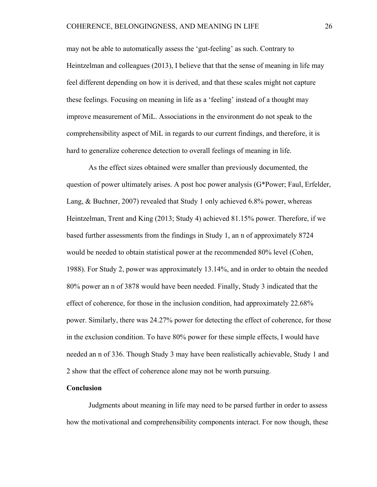may not be able to automatically assess the 'gut-feeling' as such. Contrary to Heintzelman and colleagues (2013), I believe that that the sense of meaning in life may feel different depending on how it is derived, and that these scales might not capture these feelings. Focusing on meaning in life as a 'feeling' instead of a thought may improve measurement of MiL. Associations in the environment do not speak to the comprehensibility aspect of MiL in regards to our current findings, and therefore, it is hard to generalize coherence detection to overall feelings of meaning in life.

 As the effect sizes obtained were smaller than previously documented, the question of power ultimately arises. A post hoc power analysis (G\*Power; Faul, Erfelder, Lang, & Buchner, 2007) revealed that Study 1 only achieved 6.8% power, whereas Heintzelman, Trent and King (2013; Study 4) achieved 81.15% power. Therefore, if we based further assessments from the findings in Study 1, an n of approximately 8724 would be needed to obtain statistical power at the recommended 80% level (Cohen, 1988). For Study 2, power was approximately 13.14%, and in order to obtain the needed 80% power an n of 3878 would have been needed. Finally, Study 3 indicated that the effect of coherence, for those in the inclusion condition, had approximately 22.68% power. Similarly, there was 24.27% power for detecting the effect of coherence, for those in the exclusion condition. To have 80% power for these simple effects, I would have needed an n of 336. Though Study 3 may have been realistically achievable, Study 1 and 2 show that the effect of coherence alone may not be worth pursuing.

# **Conclusion**

 Judgments about meaning in life may need to be parsed further in order to assess how the motivational and comprehensibility components interact. For now though, these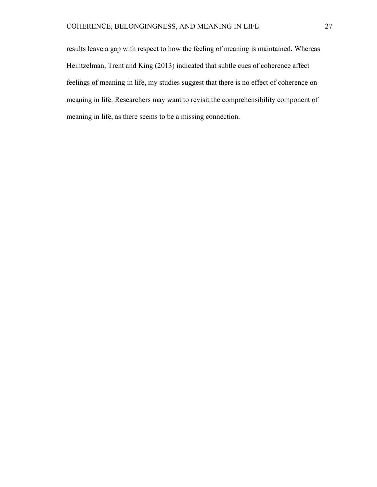results leave a gap with respect to how the feeling of meaning is maintained. Whereas Heintzelman, Trent and King (2013) indicated that subtle cues of coherence affect feelings of meaning in life, my studies suggest that there is no effect of coherence on meaning in life. Researchers may want to revisit the comprehensibility component of meaning in life, as there seems to be a missing connection.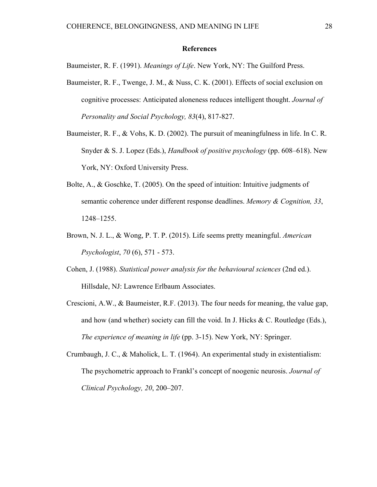# **References**

Baumeister, R. F. (1991). *Meanings of Life*. New York, NY: The Guilford Press.

- Baumeister, R. F., Twenge, J. M., & Nuss, C. K. (2001). Effects of social exclusion on cognitive processes: Anticipated aloneness reduces intelligent thought. *Journal of Personality and Social Psychology, 83*(4), 817-827.
- Baumeister, R. F., & Vohs, K. D. (2002). The pursuit of meaningfulness in life. In C. R. Snyder & S. J. Lopez (Eds.), *Handbook of positive psychology* (pp. 608–618). New York, NY: Oxford University Press.
- Bolte, A., & Goschke, T. (2005). On the speed of intuition: Intuitive judgments of semantic coherence under different response deadlines. *Memory & Cognition, 33*, 1248–1255.
- Brown, N. J. L., & Wong, P. T. P. (2015). Life seems pretty meaningful. *American Psychologist*, *70* (6), 571 - 573.
- Cohen, J. (1988). *Statistical power analysis for the behavioural sciences* (2nd ed.). Hillsdale, NJ: Lawrence Erlbaum Associates.
- Crescioni, A.W., & Baumeister, R.F. (2013). The four needs for meaning, the value gap, and how (and whether) society can fill the void. In J. Hicks & C. Routledge (Eds.), *The experience of meaning in life* (pp. 3-15). New York, NY: Springer.
- Crumbaugh, J. C., & Maholick, L. T. (1964). An experimental study in existentialism: The psychometric approach to Frankl's concept of noogenic neurosis. *Journal of Clinical Psychology, 20*, 200–207.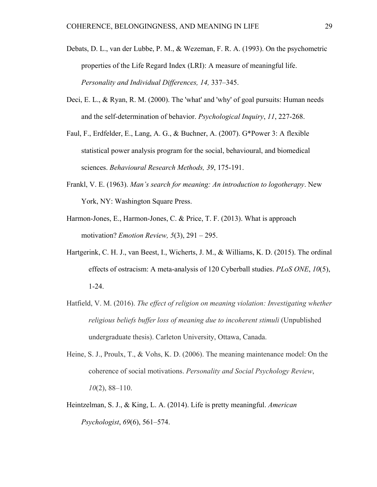- Debats, D. L., van der Lubbe, P. M., & Wezeman, F. R. A. (1993). On the psychometric properties of the Life Regard Index (LRI): A measure of meaningful life. *Personality and Individual Differences, 14,* 337–345.
- Deci, E. L., & Ryan, R. M. (2000). The 'what' and 'why' of goal pursuits: Human needs and the self-determination of behavior. *Psychological Inquiry*, *11*, 227-268.
- Faul, F., Erdfelder, E., Lang, A. G., & Buchner, A. (2007). G\*Power 3: A flexible statistical power analysis program for the social, behavioural, and biomedical sciences. *Behavioural Research Methods, 39*, 175-191.
- Frankl, V. E. (1963). *Man's search for meaning: An introduction to logotherapy*. New York, NY: Washington Square Press.
- Harmon-Jones, E., Harmon-Jones, C. & Price, T. F. (2013). What is approach motivation? *Emotion Review, 5*(3), 291 – 295.
- Hartgerink, C. H. J., van Beest, I., Wicherts, J. M., & Williams, K. D. (2015). The ordinal effects of ostracism: A meta-analysis of 120 Cyberball studies. *PLoS ONE*, *10*(5), 1-24.
- Hatfield, V. M. (2016). *The effect of religion on meaning violation: Investigating whether religious beliefs buffer loss of meaning due to incoherent stimuli* (Unpublished undergraduate thesis). Carleton University, Ottawa, Canada.
- Heine, S. J., Proulx, T., & Vohs, K. D. (2006). The meaning maintenance model: On the coherence of social motivations. *Personality and Social Psychology Review*, *10*(2), 88–110.
- Heintzelman, S. J., & King, L. A. (2014). Life is pretty meaningful. *American Psychologist*, *69*(6), 561–574.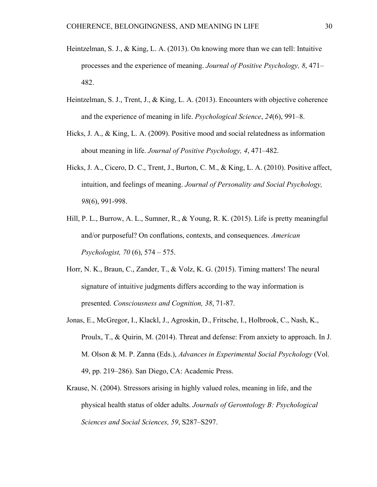- Heintzelman, S. J., & King, L. A. (2013). On knowing more than we can tell: Intuitive processes and the experience of meaning. *Journal of Positive Psychology, 8*, 471– 482.
- Heintzelman, S. J., Trent, J., & King, L. A. (2013). Encounters with objective coherence and the experience of meaning in life. *Psychological Science*, *24*(6), 991–8.
- Hicks, J. A., & King, L. A. (2009). Positive mood and social relatedness as information about meaning in life. *Journal of Positive Psychology, 4*, 471–482.
- Hicks, J. A., Cicero, D. C., Trent, J., Burton, C. M., & King, L. A. (2010). Positive affect, intuition, and feelings of meaning. *Journal of Personality and Social Psychology, 98*(6), 991-998.
- Hill, P. L., Burrow, A. L., Sumner, R., & Young, R. K. (2015). Life is pretty meaningful and/or purposeful? On conflations, contexts, and consequences. *American Psychologist, 70* (6), 574 – 575.
- Horr, N. K., Braun, C., Zander, T., & Volz, K. G. (2015). Timing matters! The neural signature of intuitive judgments differs according to the way information is presented. *Consciousness and Cognition, 38*, 71-87.
- Jonas, E., McGregor, I., Klackl, J., Agroskin, D., Fritsche, I., Holbrook, C., Nash, K., Proulx, T., & Quirin, M. (2014). Threat and defense: From anxiety to approach. In J. M. Olson & M. P. Zanna (Eds.), *Advances in Experimental Social Psychology* (Vol. 49, pp. 219–286). San Diego, CA: Academic Press.
- Krause, N. (2004). Stressors arising in highly valued roles, meaning in life, and the physical health status of older adults. *Journals of Gerontology B: Psychological Sciences and Social Sciences, 59*, S287–S297.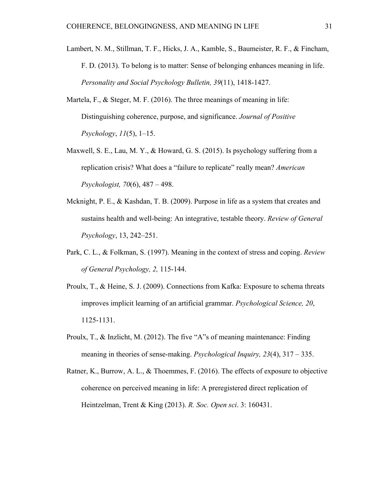- Lambert, N. M., Stillman, T. F., Hicks, J. A., Kamble, S., Baumeister, R. F., & Fincham, F. D. (2013). To belong is to matter: Sense of belonging enhances meaning in life. *Personality and Social Psychology Bulletin, 39*(11), 1418-1427.
- Martela, F., & Steger, M. F. (2016). The three meanings of meaning in life: Distinguishing coherence, purpose, and significance. *Journal of Positive Psychology*, *11*(5), 1–15.
- Maxwell, S. E., Lau, M. Y., & Howard, G. S. (2015). Is psychology suffering from a replication crisis? What does a "failure to replicate" really mean? *American Psychologist, 70*(6), 487 – 498.
- Mcknight, P. E., & Kashdan, T. B. (2009). Purpose in life as a system that creates and sustains health and well-being: An integrative, testable theory. *Review of General Psychology*, 13, 242–251.
- Park, C. L., & Folkman, S. (1997). Meaning in the context of stress and coping. *Review of General Psychology, 2,* 115-144.
- Proulx, T., & Heine, S. J. (2009). Connections from Kafka: Exposure to schema threats improves implicit learning of an artificial grammar. *Psychological Science, 20*, 1125-1131.
- Proulx, T., & Inzlicht, M. (2012). The five "A"s of meaning maintenance: Finding meaning in theories of sense-making. *Psychological Inquiry, 23*(4), 317 – 335.
- Ratner, K., Burrow, A. L., & Thoemmes, F. (2016). The effects of exposure to objective coherence on perceived meaning in life: A preregistered direct replication of Heintzelman, Trent & King (2013). *R. Soc. Open sci*. 3: 160431.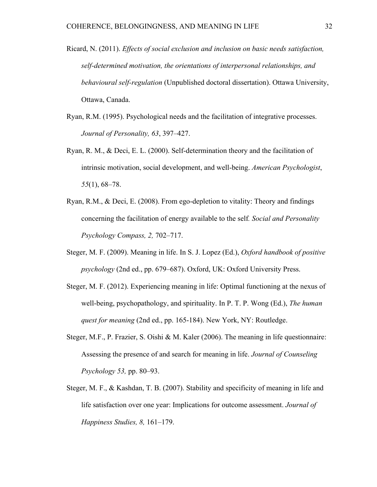- Ricard, N. (2011). *Effects of social exclusion and inclusion on basic needs satisfaction, self-determined motivation, the orientations of interpersonal relationships, and behavioural self-regulation* (Unpublished doctoral dissertation). Ottawa University, Ottawa, Canada.
- Ryan, R.M. (1995). Psychological needs and the facilitation of integrative processes. *Journal of Personality, 63*, 397–427.
- Ryan, R. M., & Deci, E. L. (2000). Self-determination theory and the facilitation of intrinsic motivation, social development, and well-being. *American Psychologist*, *55*(1), 68–78.
- Ryan, R.M., & Deci, E. (2008). From ego-depletion to vitality: Theory and findings concerning the facilitation of energy available to the self*. Social and Personality Psychology Compass, 2,* 702–717.
- Steger, M. F. (2009). Meaning in life. In S. J. Lopez (Ed.), *Oxford handbook of positive psychology* (2nd ed., pp. 679–687). Oxford, UK: Oxford University Press.
- Steger, M. F. (2012). Experiencing meaning in life: Optimal functioning at the nexus of well-being, psychopathology, and spirituality. In P. T. P. Wong (Ed.), *The human quest for meaning* (2nd ed., pp. 165-184). New York, NY: Routledge.
- Steger, M.F., P. Frazier, S. Oishi & M. Kaler (2006). The meaning in life questionnaire: Assessing the presence of and search for meaning in life. *Journal of Counseling Psychology 53,* pp. 80–93.
- Steger, M. F., & Kashdan, T. B. (2007). Stability and specificity of meaning in life and life satisfaction over one year: Implications for outcome assessment. *Journal of Happiness Studies, 8,* 161–179.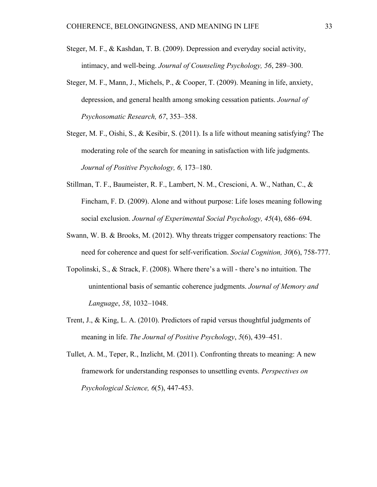- Steger, M. F., & Kashdan, T. B. (2009). Depression and everyday social activity, intimacy, and well-being. *Journal of Counseling Psychology, 56*, 289–300.
- Steger, M. F., Mann, J., Michels, P., & Cooper, T. (2009). Meaning in life, anxiety, depression, and general health among smoking cessation patients. *Journal of Psychosomatic Research, 67*, 353–358.
- Steger, M. F., Oishi, S., & Kesibir, S. (2011). Is a life without meaning satisfying? The moderating role of the search for meaning in satisfaction with life judgments. *Journal of Positive Psychology, 6,* 173–180.
- Stillman, T. F., Baumeister, R. F., Lambert, N. M., Crescioni, A. W., Nathan, C., & Fincham, F. D. (2009). Alone and without purpose: Life loses meaning following social exclusion. *Journal of Experimental Social Psychology, 45*(4), 686–694.
- Swann, W. B. & Brooks, M. (2012). Why threats trigger compensatory reactions: The need for coherence and quest for self-verification. *Social Cognition, 30*(6), 758-777.
- Topolinski, S., & Strack, F. (2008). Where there's a will there's no intuition. The unintentional basis of semantic coherence judgments. *Journal of Memory and Language*, *58*, 1032–1048.
- Trent, J., & King, L. A. (2010). Predictors of rapid versus thoughtful judgments of meaning in life. *The Journal of Positive Psychology*, *5*(6), 439–451.
- Tullet, A. M., Teper, R., Inzlicht, M. (2011). Confronting threats to meaning: A new framework for understanding responses to unsettling events. *Perspectives on Psychological Science, 6*(5), 447-453.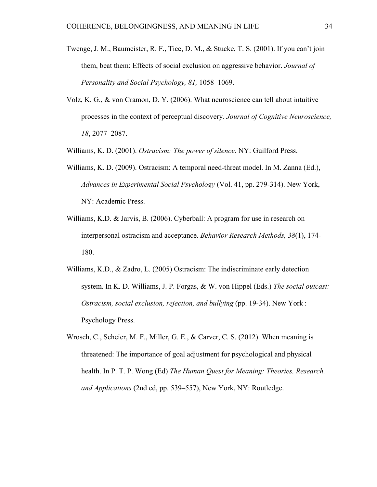- Twenge, J. M., Baumeister, R. F., Tice, D. M., & Stucke, T. S. (2001). If you can't join them, beat them: Effects of social exclusion on aggressive behavior. *Journal of Personality and Social Psychology, 81,* 1058–1069.
- Volz, K. G., & von Cramon, D. Y. (2006). What neuroscience can tell about intuitive processes in the context of perceptual discovery. *Journal of Cognitive Neuroscience, 18*, 2077–2087.

Williams, K. D. (2001). *Ostracism: The power of silence*. NY: Guilford Press.

- Williams, K. D. (2009). Ostracism: A temporal need-threat model. In M. Zanna (Ed.), *Advances in Experimental Social Psychology* (Vol. 41, pp. 279-314). New York, NY: Academic Press.
- Williams, K.D. & Jarvis, B. (2006). Cyberball: A program for use in research on interpersonal ostracism and acceptance. *Behavior Research Methods, 38*(1), 174- 180.
- Williams, K.D., & Zadro, L. (2005) Ostracism: The indiscriminate early detection system. In K. D. Williams, J. P. Forgas, & W. von Hippel (Eds.) *The social outcast: Ostracism, social exclusion, rejection, and bullying (pp. 19-34). New York*: Psychology Press.
- Wrosch, C., Scheier, M. F., Miller, G. E., & Carver, C. S. (2012). When meaning is threatened: The importance of goal adjustment for psychological and physical health. In P. T. P. Wong (Ed) *The Human Quest for Meaning: Theories, Research, and Applications* (2nd ed, pp. 539–557), New York, NY: Routledge.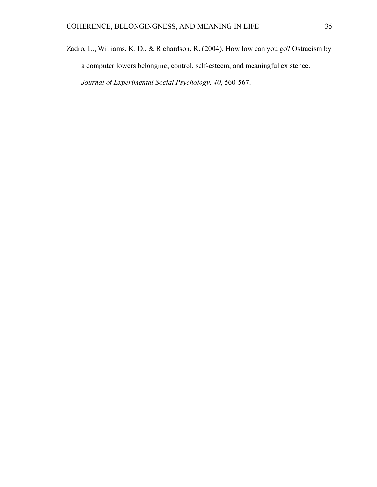Zadro, L., Williams, K. D., & Richardson, R. (2004). How low can you go? Ostracism by a computer lowers belonging, control, self-esteem, and meaningful existence. *Journal of Experimental Social Psychology, 40*, 560-567.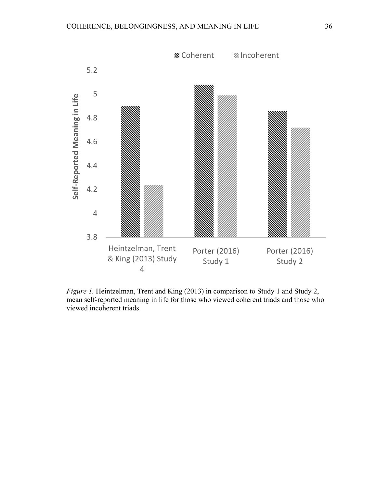

*Figure 1.* Heintzelman, Trent and King (2013) in comparison to Study 1 and Study 2, mean self-reported meaning in life for those who viewed coherent triads and those who viewed incoherent triads.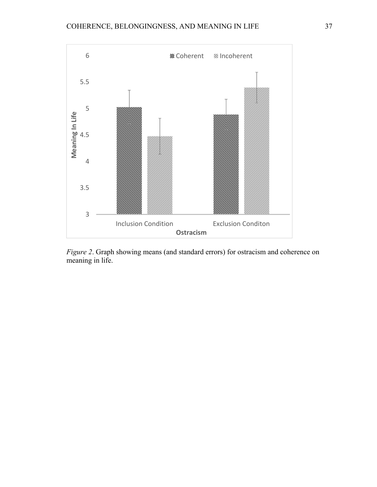

*Figure 2*. Graph showing means (and standard errors) for ostracism and coherence on meaning in life.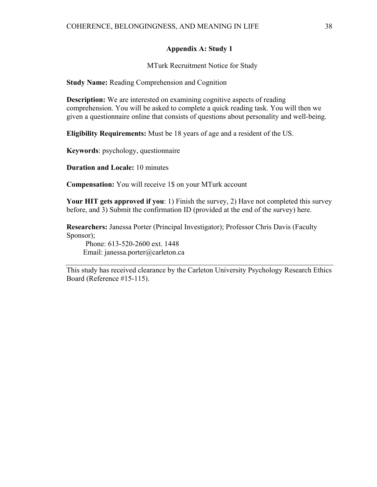#### **Appendix A: Study 1**

MTurk Recruitment Notice for Study

**Study Name:** Reading Comprehension and Cognition

**Description:** We are interested on examining cognitive aspects of reading comprehension. You will be asked to complete a quick reading task. You will then we given a questionnaire online that consists of questions about personality and well-being.

**Eligibility Requirements:** Must be 18 years of age and a resident of the US.

**Keywords**: psychology, questionnaire

**Duration and Locale:** 10 minutes

**Compensation:** You will receive 1\$ on your MTurk account

**Your HIT gets approved if you**: 1) Finish the survey, 2) Have not completed this survey before, and 3) Submit the confirmation ID (provided at the end of the survey) here.

**Researchers:** Janessa Porter (Principal Investigator); Professor Chris Davis (Faculty Sponsor);

 Phone: 613-520-2600 ext. 1448 Email: janessa.porter@carleton.ca

This study has received clearance by the Carleton University Psychology Research Ethics Board (Reference #15-115).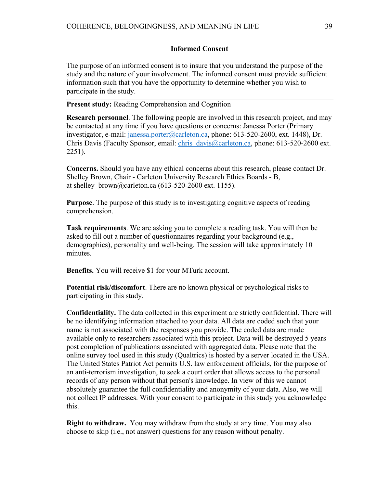#### **Informed Consent**

The purpose of an informed consent is to insure that you understand the purpose of the study and the nature of your involvement. The informed consent must provide sufficient information such that you have the opportunity to determine whether you wish to participate in the study.

**Present study:** Reading Comprehension and Cognition

**Research personnel**. The following people are involved in this research project, and may be contacted at any time if you have questions or concerns: Janessa Porter (Primary investigator, e-mail: janessa.porter@carleton.ca, phone: 613-520-2600, ext. 1448), Dr. Chris Davis (Faculty Sponsor, email: chris\_davis@carleton.ca, phone: 613-520-2600 ext. 2251).

**Concerns.** Should you have any ethical concerns about this research, please contact Dr. Shelley Brown, Chair - Carleton University Research Ethics Boards - B, at shelley brown@carleton.ca (613-520-2600 ext. 1155).

**Purpose**. The purpose of this study is to investigating cognitive aspects of reading comprehension.

**Task requirements**. We are asking you to complete a reading task. You will then be asked to fill out a number of questionnaires regarding your background (e.g., demographics), personality and well-being. The session will take approximately 10 minutes.

**Benefits.** You will receive \$1 for your MTurk account.

**Potential risk/discomfort**. There are no known physical or psychological risks to participating in this study.

**Confidentiality.** The data collected in this experiment are strictly confidential. There will be no identifying information attached to your data. All data are coded such that your name is not associated with the responses you provide. The coded data are made available only to researchers associated with this project. Data will be destroyed 5 years post completion of publications associated with aggregated data. Please note that the online survey tool used in this study (Qualtrics) is hosted by a server located in the USA. The United States Patriot Act permits U.S. law enforcement officials, for the purpose of an anti-terrorism investigation, to seek a court order that allows access to the personal records of any person without that person's knowledge. In view of this we cannot absolutely guarantee the full confidentiality and anonymity of your data. Also, we will not collect IP addresses. With your consent to participate in this study you acknowledge this.

**Right to withdraw.** You may withdraw from the study at any time. You may also choose to skip (i.e., not answer) questions for any reason without penalty.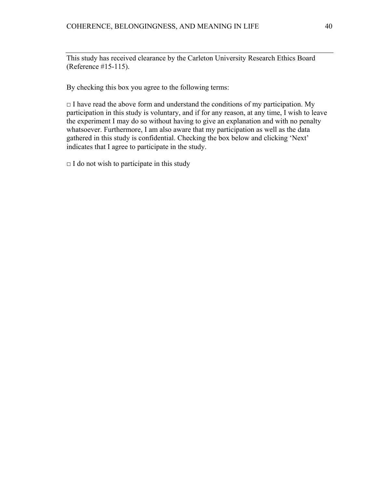This study has received clearance by the Carleton University Research Ethics Board (Reference #15-115).

By checking this box you agree to the following terms:

 $\Box$  I have read the above form and understand the conditions of my participation. My participation in this study is voluntary, and if for any reason, at any time, I wish to leave the experiment I may do so without having to give an explanation and with no penalty whatsoever. Furthermore, I am also aware that my participation as well as the data gathered in this study is confidential. Checking the box below and clicking 'Next' indicates that I agree to participate in the study.

 $\Box$  I do not wish to participate in this study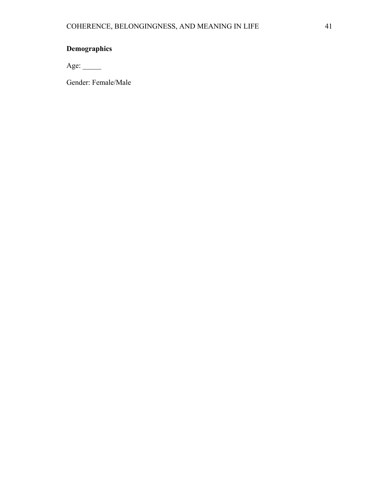# **Demographics**

Age: \_\_\_\_\_

Gender: Female/Male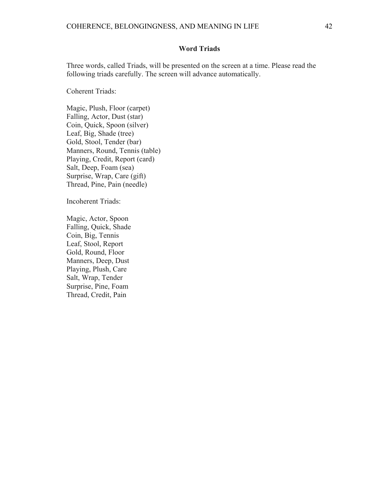# **Word Triads**

Three words, called Triads, will be presented on the screen at a time. Please read the following triads carefully. The screen will advance automatically.

Coherent Triads:

Magic, Plush, Floor (carpet) Falling, Actor, Dust (star) Coin, Quick, Spoon (silver) Leaf, Big, Shade (tree) Gold, Stool, Tender (bar) Manners, Round, Tennis (table) Playing, Credit, Report (card) Salt, Deep, Foam (sea) Surprise, Wrap, Care (gift) Thread, Pine, Pain (needle)

Incoherent Triads:

Magic, Actor, Spoon Falling, Quick, Shade Coin, Big, Tennis Leaf, Stool, Report Gold, Round, Floor Manners, Deep, Dust Playing, Plush, Care Salt, Wrap, Tender Surprise, Pine, Foam Thread, Credit, Pain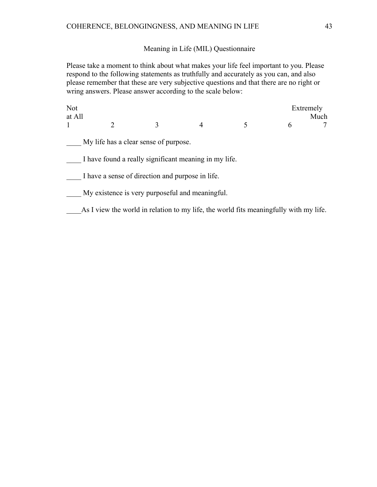# Meaning in Life (MIL) Questionnaire

Please take a moment to think about what makes your life feel important to you. Please respond to the following statements as truthfully and accurately as you can, and also please remember that these are very subjective questions and that there are no right or wring answers. Please answer according to the scale below:

| <b>Not</b><br>at All |                                                                                       |   |   |   |   | Extremely<br>Much |
|----------------------|---------------------------------------------------------------------------------------|---|---|---|---|-------------------|
| 1                    | $\mathfrak{D}$                                                                        | 3 | 4 | 5 | 6 |                   |
|                      | My life has a clear sense of purpose.                                                 |   |   |   |   |                   |
|                      | I have found a really significant meaning in my life.                                 |   |   |   |   |                   |
|                      | I have a sense of direction and purpose in life.                                      |   |   |   |   |                   |
|                      | My existence is very purposeful and meaningful.                                       |   |   |   |   |                   |
|                      | As I view the world in relation to my life, the world fits meaningfully with my life. |   |   |   |   |                   |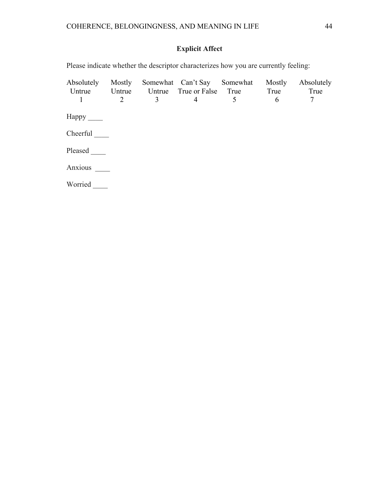# **Explicit Affect**

| Absolutely<br>Untrue<br>1       | Mostly<br>2 | 3 | Somewhat Can't Say Somewhat<br>Untrue Untrue True or False True<br>4 | 5 | Mostly<br>True<br>6 | Absolutely<br>True<br>7 |
|---------------------------------|-------------|---|----------------------------------------------------------------------|---|---------------------|-------------------------|
| $\text{Happy}$ <sub>_____</sub> |             |   |                                                                      |   |                     |                         |
| Cheerful                        |             |   |                                                                      |   |                     |                         |
| Pleased                         |             |   |                                                                      |   |                     |                         |
| Anxious                         |             |   |                                                                      |   |                     |                         |
| Worried                         |             |   |                                                                      |   |                     |                         |

Please indicate whether the descriptor characterizes how you are currently feeling: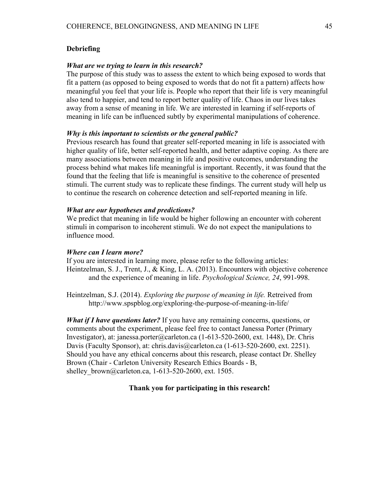## **Debriefing**

#### *What are we trying to learn in this research?*

The purpose of this study was to assess the extent to which being exposed to words that fit a pattern (as opposed to being exposed to words that do not fit a pattern) affects how meaningful you feel that your life is. People who report that their life is very meaningful also tend to happier, and tend to report better quality of life. Chaos in our lives takes away from a sense of meaning in life. We are interested in learning if self-reports of meaning in life can be influenced subtly by experimental manipulations of coherence.

#### *Why is this important to scientists or the general public?*

Previous research has found that greater self-reported meaning in life is associated with higher quality of life, better self-reported health, and better adaptive coping. As there are many associations between meaning in life and positive outcomes, understanding the process behind what makes life meaningful is important. Recently, it was found that the found that the feeling that life is meaningful is sensitive to the coherence of presented stimuli. The current study was to replicate these findings. The current study will help us to continue the research on coherence detection and self-reported meaning in life.

#### *What are our hypotheses and predictions?*

We predict that meaning in life would be higher following an encounter with coherent stimuli in comparison to incoherent stimuli. We do not expect the manipulations to influence mood.

#### *Where can I learn more?*

If you are interested in learning more, please refer to the following articles: Heintzelman, S. J., Trent, J., & King, L. A. (2013). Encounters with objective coherence and the experience of meaning in life. *Psychological Science, 24*, 991-998.

Heintzelman, S.J. (2014). *Exploring the purpose of meaning in life.* Retreived from http://www.spspblog.org/exploring-the-purpose-of-meaning-in-life/

*What if I have questions later?* If you have any remaining concerns, questions, or comments about the experiment, please feel free to contact Janessa Porter (Primary Investigator), at: janessa.porter@carleton.ca (1-613-520-2600, ext. 1448), Dr. Chris Davis (Faculty Sponsor), at: chris.davis@carleton.ca (1-613-520-2600, ext. 2251). Should you have any ethical concerns about this research, please contact Dr. Shelley Brown (Chair - Carleton University Research Ethics Boards - B, shelley brown@carleton.ca, 1-613-520-2600, ext. 1505.

#### **Thank you for participating in this research!**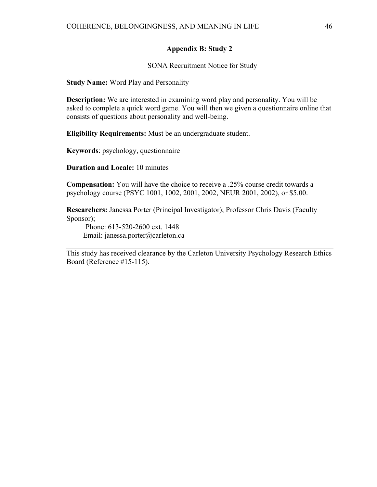# **Appendix B: Study 2**

SONA Recruitment Notice for Study

**Study Name:** Word Play and Personality

**Description:** We are interested in examining word play and personality. You will be asked to complete a quick word game. You will then we given a questionnaire online that consists of questions about personality and well-being.

**Eligibility Requirements:** Must be an undergraduate student.

**Keywords**: psychology, questionnaire

**Duration and Locale:** 10 minutes

**Compensation:** You will have the choice to receive a .25% course credit towards a psychology course (PSYC 1001, 1002, 2001, 2002, NEUR 2001, 2002), or \$5.00.

**Researchers:** Janessa Porter (Principal Investigator); Professor Chris Davis (Faculty Sponsor);

 Phone: 613-520-2600 ext. 1448 Email: janessa.porter@carleton.ca

This study has received clearance by the Carleton University Psychology Research Ethics Board (Reference #15-115).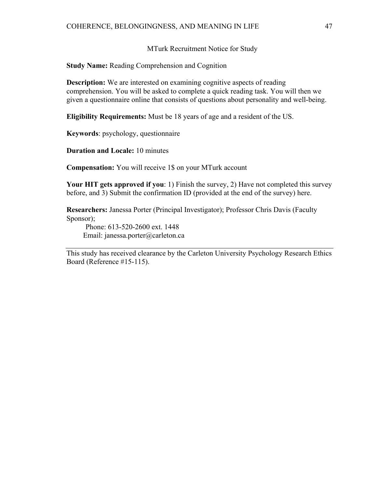#### MTurk Recruitment Notice for Study

**Study Name:** Reading Comprehension and Cognition

**Description:** We are interested on examining cognitive aspects of reading comprehension. You will be asked to complete a quick reading task. You will then we given a questionnaire online that consists of questions about personality and well-being.

**Eligibility Requirements:** Must be 18 years of age and a resident of the US.

**Keywords**: psychology, questionnaire

**Duration and Locale:** 10 minutes

**Compensation:** You will receive 1\$ on your MTurk account

**Your HIT gets approved if you**: 1) Finish the survey, 2) Have not completed this survey before, and 3) Submit the confirmation ID (provided at the end of the survey) here.

**Researchers:** Janessa Porter (Principal Investigator); Professor Chris Davis (Faculty Sponsor);

 Phone: 613-520-2600 ext. 1448 Email: janessa.porter@carleton.ca

This study has received clearance by the Carleton University Psychology Research Ethics Board (Reference #15-115).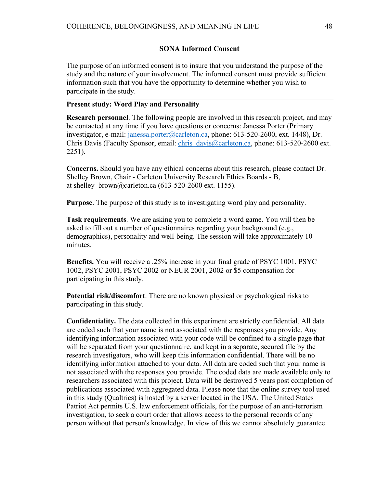#### **SONA Informed Consent**

The purpose of an informed consent is to insure that you understand the purpose of the study and the nature of your involvement. The informed consent must provide sufficient information such that you have the opportunity to determine whether you wish to participate in the study.

### **Present study: Word Play and Personality**

**Research personnel**. The following people are involved in this research project, and may be contacted at any time if you have questions or concerns: Janessa Porter (Primary investigator, e-mail: janessa.porter@carleton.ca, phone: 613-520-2600, ext. 1448), Dr. Chris Davis (Faculty Sponsor, email: chris\_davis@carleton.ca, phone: 613-520-2600 ext. 2251).

**Concerns.** Should you have any ethical concerns about this research, please contact Dr. Shelley Brown, Chair - Carleton University Research Ethics Boards - B, at shelley brown@carleton.ca (613-520-2600 ext. 1155).

**Purpose**. The purpose of this study is to investigating word play and personality.

**Task requirements**. We are asking you to complete a word game. You will then be asked to fill out a number of questionnaires regarding your background (e.g., demographics), personality and well-being. The session will take approximately 10 minutes.

**Benefits.** You will receive a .25% increase in your final grade of PSYC 1001, PSYC 1002, PSYC 2001, PSYC 2002 or NEUR 2001, 2002 or \$5 compensation for participating in this study.

**Potential risk/discomfort**. There are no known physical or psychological risks to participating in this study.

**Confidentiality.** The data collected in this experiment are strictly confidential. All data are coded such that your name is not associated with the responses you provide. Any identifying information associated with your code will be confined to a single page that will be separated from your questionnaire, and kept in a separate, secured file by the research investigators, who will keep this information confidential. There will be no identifying information attached to your data. All data are coded such that your name is not associated with the responses you provide. The coded data are made available only to researchers associated with this project. Data will be destroyed 5 years post completion of publications associated with aggregated data. Please note that the online survey tool used in this study (Qualtrics) is hosted by a server located in the USA. The United States Patriot Act permits U.S. law enforcement officials, for the purpose of an anti-terrorism investigation, to seek a court order that allows access to the personal records of any person without that person's knowledge. In view of this we cannot absolutely guarantee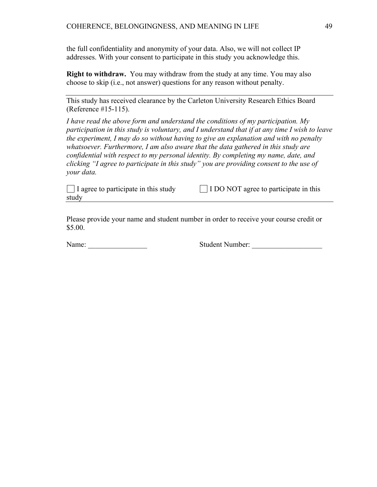the full confidentiality and anonymity of your data. Also, we will not collect IP addresses. With your consent to participate in this study you acknowledge this.

**Right to withdraw.** You may withdraw from the study at any time. You may also choose to skip (i.e., not answer) questions for any reason without penalty.

This study has received clearance by the Carleton University Research Ethics Board (Reference #15-115).

*I have read the above form and understand the conditions of my participation. My participation in this study is voluntary, and I understand that if at any time I wish to leave the experiment, I may do so without having to give an explanation and with no penalty whatsoever. Furthermore, I am also aware that the data gathered in this study are confidential with respect to my personal identity. By completing my name, date, and clicking "I agree to participate in this study" you are providing consent to the use of your data.*

study

 $\Box$  I agree to participate in this study  $\Box$  I DO NOT agree to participate in this

Please provide your name and student number in order to receive your course credit or \$5.00.

Name: No. 2010 Student Number: 2010 Student Number: 2010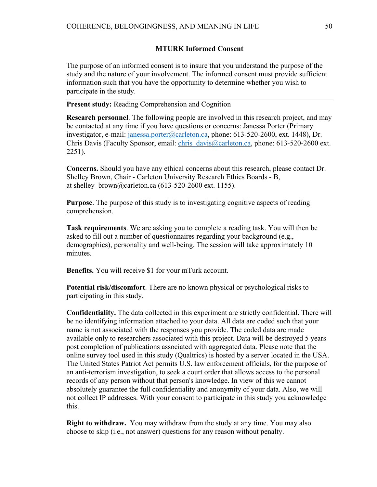#### **MTURK Informed Consent**

The purpose of an informed consent is to insure that you understand the purpose of the study and the nature of your involvement. The informed consent must provide sufficient information such that you have the opportunity to determine whether you wish to participate in the study.

**Present study:** Reading Comprehension and Cognition

**Research personnel**. The following people are involved in this research project, and may be contacted at any time if you have questions or concerns: Janessa Porter (Primary investigator, e-mail: janessa.porter@carleton.ca, phone: 613-520-2600, ext. 1448), Dr. Chris Davis (Faculty Sponsor, email: chris\_davis@carleton.ca, phone: 613-520-2600 ext. 2251).

**Concerns.** Should you have any ethical concerns about this research, please contact Dr. Shelley Brown, Chair - Carleton University Research Ethics Boards - B, at shelley brown@carleton.ca (613-520-2600 ext. 1155).

**Purpose**. The purpose of this study is to investigating cognitive aspects of reading comprehension.

**Task requirements**. We are asking you to complete a reading task. You will then be asked to fill out a number of questionnaires regarding your background (e.g., demographics), personality and well-being. The session will take approximately 10 minutes.

**Benefits.** You will receive \$1 for your mTurk account.

**Potential risk/discomfort**. There are no known physical or psychological risks to participating in this study.

**Confidentiality.** The data collected in this experiment are strictly confidential. There will be no identifying information attached to your data. All data are coded such that your name is not associated with the responses you provide. The coded data are made available only to researchers associated with this project. Data will be destroyed 5 years post completion of publications associated with aggregated data. Please note that the online survey tool used in this study (Qualtrics) is hosted by a server located in the USA. The United States Patriot Act permits U.S. law enforcement officials, for the purpose of an anti-terrorism investigation, to seek a court order that allows access to the personal records of any person without that person's knowledge. In view of this we cannot absolutely guarantee the full confidentiality and anonymity of your data. Also, we will not collect IP addresses. With your consent to participate in this study you acknowledge this.

**Right to withdraw.** You may withdraw from the study at any time. You may also choose to skip (i.e., not answer) questions for any reason without penalty.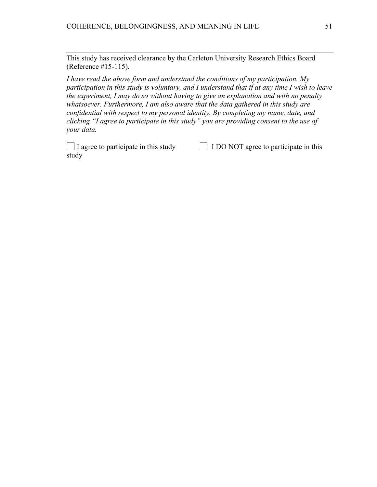This study has received clearance by the Carleton University Research Ethics Board (Reference #15-115).

*I have read the above form and understand the conditions of my participation. My participation in this study is voluntary, and I understand that if at any time I wish to leave the experiment, I may do so without having to give an explanation and with no penalty whatsoever. Furthermore, I am also aware that the data gathered in this study are confidential with respect to my personal identity. By completing my name, date, and clicking "I agree to participate in this study" you are providing consent to the use of your data.*

 $\Box$  I agree to participate in this study  $\Box$  I DO NOT agree to participate in this study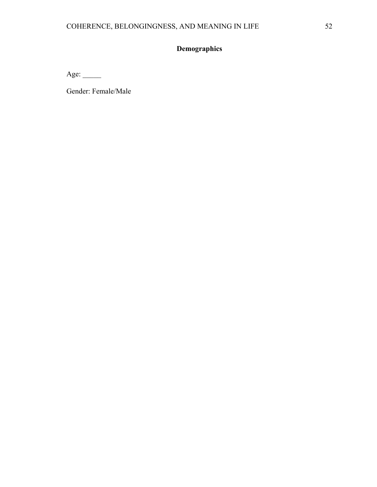# **Demographics**

Age: \_\_\_\_\_\_\_

Gender: Female/Male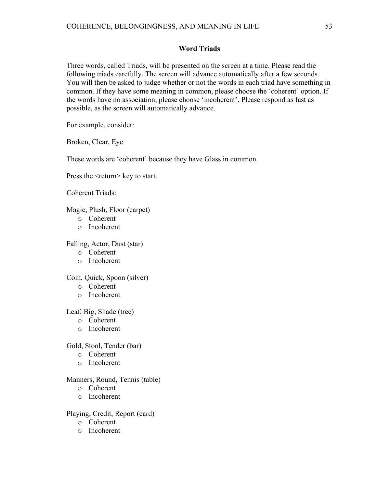### **Word Triads**

Three words, called Triads, will be presented on the screen at a time. Please read the following triads carefully. The screen will advance automatically after a few seconds. You will then be asked to judge whether or not the words in each triad have something in common. If they have some meaning in common, please choose the 'coherent' option. If the words have no association, please choose 'incoherent'. Please respond as fast as possible, as the screen will automatically advance.

For example, consider:

Broken, Clear, Eye

These words are 'coherent' because they have Glass in common.

Press the <return> key to start.

Coherent Triads:

Magic, Plush, Floor (carpet)

- o Coherent
- o Incoherent

Falling, Actor, Dust (star)

- o Coherent
- o Incoherent

Coin, Quick, Spoon (silver)

- o Coherent
- o Incoherent

#### Leaf, Big, Shade (tree)

- o Coherent
- o Incoherent

#### Gold, Stool, Tender (bar)

- o Coherent
- o Incoherent

#### Manners, Round, Tennis (table)

- o Coherent
- o Incoherent

#### Playing, Credit, Report (card)

- o Coherent
- o Incoherent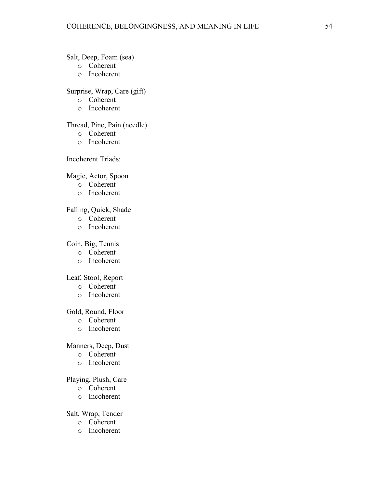# Salt, Deep, Foam (sea)

- o Coherent
- o Incoherent

# Surprise, Wrap, Care (gift)

- o Coherent
- o Incoherent

# Thread, Pine, Pain (needle)

- o Coherent
- o Incoherent

# Incoherent Triads:

# Magic, Actor, Spoon

- o Coherent
- o Incoherent

# Falling, Quick, Shade

- o Coherent
- o Incoherent

# Coin, Big, Tennis

- o Coherent
- o Incoherent

#### Leaf, Stool, Report

- o Coherent
- o Incoherent

### Gold, Round, Floor

- o Coherent
- o Incoherent

#### Manners, Deep, Dust

- o Coherent
- o Incoherent

# Playing, Plush, Care

- o Coherent
- o Incoherent

# Salt, Wrap, Tender

- o Coherent
- o Incoherent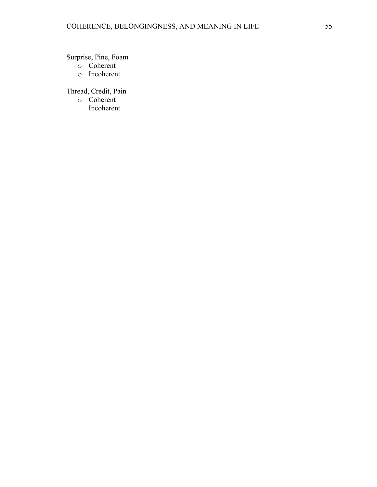Surprise, Pine, Foam

- o Coherent
- o Incoherent

Thread, Credit, Pain

o Coherent Incoherent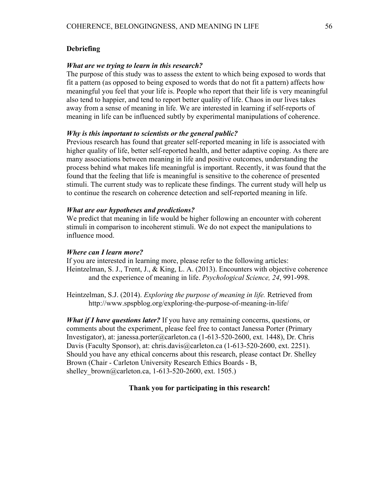## **Debriefing**

#### *What are we trying to learn in this research?*

The purpose of this study was to assess the extent to which being exposed to words that fit a pattern (as opposed to being exposed to words that do not fit a pattern) affects how meaningful you feel that your life is. People who report that their life is very meaningful also tend to happier, and tend to report better quality of life. Chaos in our lives takes away from a sense of meaning in life. We are interested in learning if self-reports of meaning in life can be influenced subtly by experimental manipulations of coherence.

#### *Why is this important to scientists or the general public?*

Previous research has found that greater self-reported meaning in life is associated with higher quality of life, better self-reported health, and better adaptive coping. As there are many associations between meaning in life and positive outcomes, understanding the process behind what makes life meaningful is important. Recently, it was found that the found that the feeling that life is meaningful is sensitive to the coherence of presented stimuli. The current study was to replicate these findings. The current study will help us to continue the research on coherence detection and self-reported meaning in life.

#### *What are our hypotheses and predictions?*

We predict that meaning in life would be higher following an encounter with coherent stimuli in comparison to incoherent stimuli. We do not expect the manipulations to influence mood.

#### *Where can I learn more?*

If you are interested in learning more, please refer to the following articles: Heintzelman, S. J., Trent, J., & King, L. A. (2013). Encounters with objective coherence and the experience of meaning in life. *Psychological Science, 24*, 991-998.

Heintzelman, S.J. (2014). *Exploring the purpose of meaning in life.* Retrieved from http://www.spspblog.org/exploring-the-purpose-of-meaning-in-life/

*What if I have questions later?* If you have any remaining concerns, questions, or comments about the experiment, please feel free to contact Janessa Porter (Primary Investigator), at: janessa.porter@carleton.ca (1-613-520-2600, ext. 1448), Dr. Chris Davis (Faculty Sponsor), at: chris.davis@carleton.ca (1-613-520-2600, ext. 2251). Should you have any ethical concerns about this research, please contact Dr. Shelley Brown (Chair - Carleton University Research Ethics Boards - B, shelley brown@carleton.ca, 1-613-520-2600, ext. 1505.)

#### **Thank you for participating in this research!**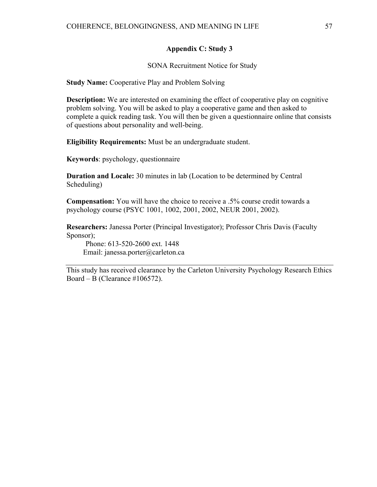## **Appendix C: Study 3**

SONA Recruitment Notice for Study

**Study Name:** Cooperative Play and Problem Solving

**Description:** We are interested on examining the effect of cooperative play on cognitive problem solving. You will be asked to play a cooperative game and then asked to complete a quick reading task. You will then be given a questionnaire online that consists of questions about personality and well-being.

**Eligibility Requirements:** Must be an undergraduate student.

**Keywords**: psychology, questionnaire

**Duration and Locale:** 30 minutes in lab (Location to be determined by Central Scheduling)

**Compensation:** You will have the choice to receive a .5% course credit towards a psychology course (PSYC 1001, 1002, 2001, 2002, NEUR 2001, 2002).

**Researchers:** Janessa Porter (Principal Investigator); Professor Chris Davis (Faculty Sponsor);

 Phone: 613-520-2600 ext. 1448 Email: janessa.porter@carleton.ca

This study has received clearance by the Carleton University Psychology Research Ethics Board – B (Clearance #106572).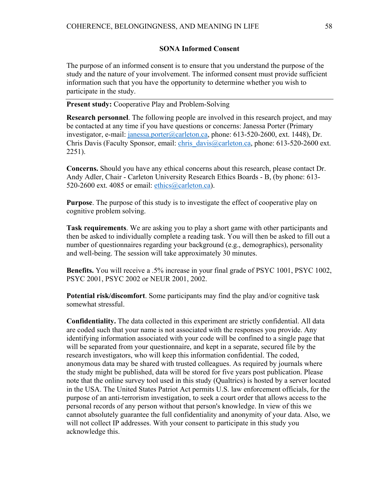#### **SONA Informed Consent**

The purpose of an informed consent is to ensure that you understand the purpose of the study and the nature of your involvement. The informed consent must provide sufficient information such that you have the opportunity to determine whether you wish to participate in the study.

**Present study:** Cooperative Play and Problem-Solving

**Research personnel**. The following people are involved in this research project, and may be contacted at any time if you have questions or concerns: Janessa Porter (Primary investigator, e-mail: janessa.porter@carleton.ca, phone: 613-520-2600, ext. 1448), Dr. Chris Davis (Faculty Sponsor, email: chris\_davis@carleton.ca, phone: 613-520-2600 ext. 2251).

**Concerns.** Should you have any ethical concerns about this research, please contact Dr. Andy Adler, Chair - Carleton University Research Ethics Boards - B, (by phone: 613- 520-2600 ext. 4085 or email:  $\frac{\text{ethics}(\widehat{a})\text{carleton.ca}}{\text{carleton.ca}}$ .

**Purpose**. The purpose of this study is to investigate the effect of cooperative play on cognitive problem solving.

**Task requirements**. We are asking you to play a short game with other participants and then be asked to individually complete a reading task. You will then be asked to fill out a number of questionnaires regarding your background (e.g., demographics), personality and well-being. The session will take approximately 30 minutes.

**Benefits.** You will receive a .5% increase in your final grade of PSYC 1001, PSYC 1002, PSYC 2001, PSYC 2002 or NEUR 2001, 2002.

**Potential risk/discomfort**. Some participants may find the play and/or cognitive task somewhat stressful.

**Confidentiality.** The data collected in this experiment are strictly confidential. All data are coded such that your name is not associated with the responses you provide. Any identifying information associated with your code will be confined to a single page that will be separated from your questionnaire, and kept in a separate, secured file by the research investigators, who will keep this information confidential. The coded, anonymous data may be shared with trusted colleagues. As required by journals where the study might be published, data will be stored for five years post publication. Please note that the online survey tool used in this study (Qualtrics) is hosted by a server located in the USA. The United States Patriot Act permits U.S. law enforcement officials, for the purpose of an anti-terrorism investigation, to seek a court order that allows access to the personal records of any person without that person's knowledge. In view of this we cannot absolutely guarantee the full confidentiality and anonymity of your data. Also, we will not collect IP addresses. With your consent to participate in this study you acknowledge this.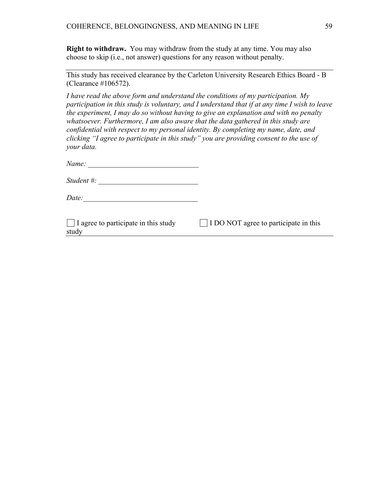**Right to withdraw.** You may withdraw from the study at any time. You may also choose to skip (i.e., not answer) questions for any reason without penalty.

| This study has received clearance by the Carleton University Research Ethics Board - B |  |
|----------------------------------------------------------------------------------------|--|
| (Clearance $\#106572$ ).                                                               |  |

*I have read the above form and understand the conditions of my participation. My participation in this study is voluntary, and I understand that if at any time I wish to leave the experiment, I may do so without having to give an explanation and with no penalty whatsoever. Furthermore, I am also aware that the data gathered in this study are confidential with respect to my personal identity. By completing my name, date, and clicking "I agree to participate in this study" you are providing consent to the use of your data.* 

| Name: |  |
|-------|--|
|-------|--|

*Student #:*  $\overline{a}$ 

*Date:\_\_\_\_\_\_\_\_\_\_\_\_\_\_\_\_\_\_\_\_\_\_\_\_\_\_\_\_\_\_\_* 

study

 $\Box$  I agree to participate in this study  $\Box$  I DO NOT agree to participate in this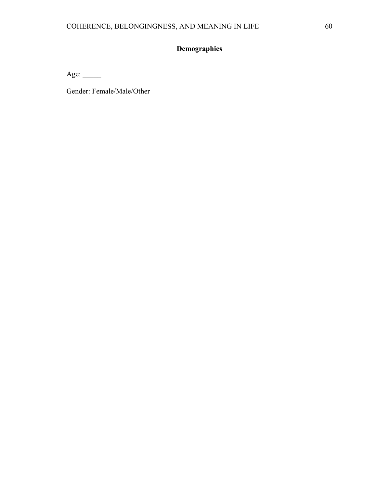# **Demographics**

Age:  $\_\_$ 

Gender: Female/Male/Other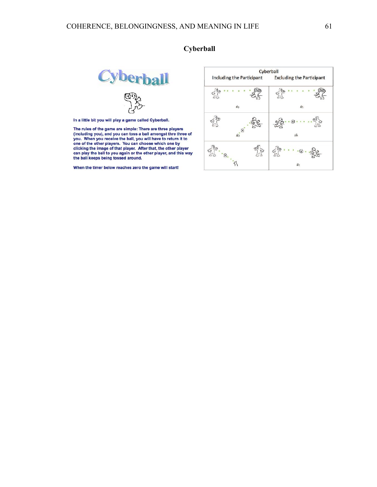# **Cyberball**

In a little bit you will play a game called Cyberball.

The rules of the game are simple: There are three players The rules of the game are simple: There are three players<br>(including you), and you can toss a ball amongst thre three of<br>you. When you receive the ball, you will have to return it to<br>one of the other players. You can choos the ball keeps being tossed around.

When the timer below reaches zero the game will start!

# **Cyberball**

|                           | Cyberball                        |
|---------------------------|----------------------------------|
| Including the Participant | <b>Excluding the Participant</b> |
|                           |                                  |
| 卻                         | τ.                               |
| Θ                         | 倅                                |
|                           |                                  |
|                           |                                  |
|                           |                                  |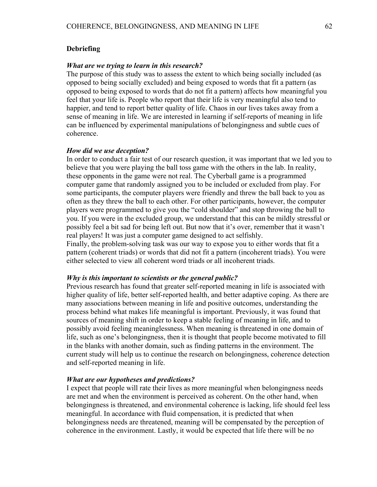## **Debriefing**

#### *What are we trying to learn in this research?*

The purpose of this study was to assess the extent to which being socially included (as opposed to being socially excluded) and being exposed to words that fit a pattern (as opposed to being exposed to words that do not fit a pattern) affects how meaningful you feel that your life is. People who report that their life is very meaningful also tend to happier, and tend to report better quality of life. Chaos in our lives takes away from a sense of meaning in life. We are interested in learning if self-reports of meaning in life can be influenced by experimental manipulations of belongingness and subtle cues of coherence.

#### *How did we use deception?*

In order to conduct a fair test of our research question, it was important that we led you to believe that you were playing the ball toss game with the others in the lab. In reality, these opponents in the game were not real. The Cyberball game is a programmed computer game that randomly assigned you to be included or excluded from play. For some participants, the computer players were friendly and threw the ball back to you as often as they threw the ball to each other. For other participants, however, the computer players were programmed to give you the "cold shoulder" and stop throwing the ball to you. If you were in the excluded group, we understand that this can be mildly stressful or possibly feel a bit sad for being left out. But now that it's over, remember that it wasn't real players! It was just a computer game designed to act selfishly.

Finally, the problem-solving task was our way to expose you to either words that fit a pattern (coherent triads) or words that did not fit a pattern (incoherent triads). You were either selected to view all coherent word triads or all incoherent triads.

#### *Why is this important to scientists or the general public?*

Previous research has found that greater self-reported meaning in life is associated with higher quality of life, better self-reported health, and better adaptive coping. As there are many associations between meaning in life and positive outcomes, understanding the process behind what makes life meaningful is important. Previously, it was found that sources of meaning shift in order to keep a stable feeling of meaning in life, and to possibly avoid feeling meaninglessness. When meaning is threatened in one domain of life, such as one's belongingness, then it is thought that people become motivated to fill in the blanks with another domain, such as finding patterns in the environment. The current study will help us to continue the research on belongingness, coherence detection and self-reported meaning in life.

#### *What are our hypotheses and predictions?*

I expect that people will rate their lives as more meaningful when belongingness needs are met and when the environment is perceived as coherent. On the other hand, when belongingness is threatened, and environmental coherence is lacking, life should feel less meaningful. In accordance with fluid compensation, it is predicted that when belongingness needs are threatened, meaning will be compensated by the perception of coherence in the environment. Lastly, it would be expected that life there will be no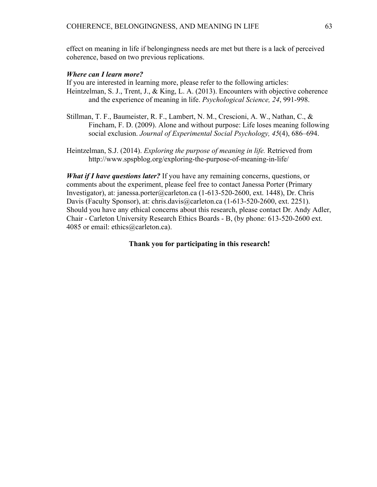effect on meaning in life if belongingness needs are met but there is a lack of perceived coherence, based on two previous replications.

#### *Where can I learn more?*

If you are interested in learning more, please refer to the following articles: Heintzelman, S. J., Trent, J., & King, L. A. (2013). Encounters with objective coherence and the experience of meaning in life. *Psychological Science, 24*, 991-998.

- Stillman, T. F., Baumeister, R. F., Lambert, N. M., Crescioni, A. W., Nathan, C., & Fincham, F. D. (2009). Alone and without purpose: Life loses meaning following social exclusion. *Journal of Experimental Social Psychology, 45*(4), 686–694.
- Heintzelman, S.J. (2014). *Exploring the purpose of meaning in life.* Retrieved from http://www.spspblog.org/exploring-the-purpose-of-meaning-in-life/

*What if I have questions later?* If you have any remaining concerns, questions, or comments about the experiment, please feel free to contact Janessa Porter (Primary Investigator), at: janessa.porter@carleton.ca (1-613-520-2600, ext. 1448), Dr. Chris Davis (Faculty Sponsor), at: chris.davis@carleton.ca (1-613-520-2600, ext. 2251). Should you have any ethical concerns about this research, please contact Dr. Andy Adler, Chair - Carleton University Research Ethics Boards - B, (by phone: 613-520-2600 ext. 4085 or email: ethics@carleton.ca).

#### **Thank you for participating in this research!**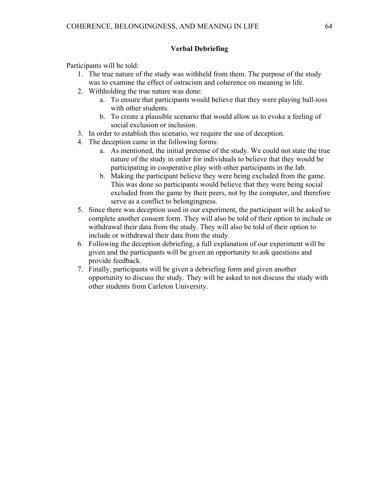# **Verbal Debriefing**

Participants will be told:

- 1. The true nature of the study was withheld from them. The purpose of the study was to examine the effect of ostracism and coherence on meaning in life.
- 2. Withholding the true nature was done:
	- a. To ensure that participants would believe that they were playing ball-toss with other students.
	- b. To create a plausible scenario that would allow us to evoke a feeling of social exclusion or inclusion.
- 3. In order to establish this scenario, we require the use of deception.
- 4. The deception came in the following forms:
	- a. As mentioned, the initial pretense of the study. We could not state the true nature of the study in order for individuals to believe that they would be participating in cooperative play with other participants in the lab.
	- b. Making the participant believe they were being excluded from the game. This was done so participants would believe that they were being social excluded from the game by their peers, not by the computer, and therefore serve as a conflict to belongingness.
- 5. Since there was deception used in our experiment, the participant will be asked to complete another consent form. They will also be told of their option to include or withdrawal their data from the study. They will also be told of their option to include or withdrawal their data from the study.
- 6. Following the deception debriefing, a full explanation of our experiment will be given and the participants will be given an opportunity to ask questions and provide feedback.
- 7. Finally, participants will be given a debriefing form and given another opportunity to discuss the study. They will be asked to not discuss the study with other students from Carleton University.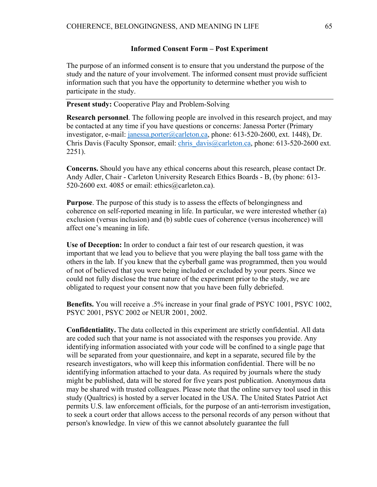#### **Informed Consent Form – Post Experiment**

The purpose of an informed consent is to ensure that you understand the purpose of the study and the nature of your involvement. The informed consent must provide sufficient information such that you have the opportunity to determine whether you wish to participate in the study.

**Present study:** Cooperative Play and Problem-Solving

**Research personnel**. The following people are involved in this research project, and may be contacted at any time if you have questions or concerns: Janessa Porter (Primary investigator, e-mail: janessa.porter@carleton.ca, phone: 613-520-2600, ext. 1448), Dr. Chris Davis (Faculty Sponsor, email: chris\_davis@carleton.ca, phone: 613-520-2600 ext. 2251).

**Concerns.** Should you have any ethical concerns about this research, please contact Dr. Andy Adler, Chair - Carleton University Research Ethics Boards - B, (by phone: 613- 520-2600 ext. 4085 or email: ethics@carleton.ca).

**Purpose**. The purpose of this study is to assess the effects of belongingness and coherence on self-reported meaning in life. In particular, we were interested whether (a) exclusion (versus inclusion) and (b) subtle cues of coherence (versus incoherence) will affect one's meaning in life.

**Use of Deception:** In order to conduct a fair test of our research question, it was important that we lead you to believe that you were playing the ball toss game with the others in the lab. If you knew that the cyberball game was programmed, then you would of not of believed that you were being included or excluded by your peers. Since we could not fully disclose the true nature of the experiment prior to the study, we are obligated to request your consent now that you have been fully debriefed.

**Benefits.** You will receive a .5% increase in your final grade of PSYC 1001, PSYC 1002, PSYC 2001, PSYC 2002 or NEUR 2001, 2002.

**Confidentiality.** The data collected in this experiment are strictly confidential. All data are coded such that your name is not associated with the responses you provide. Any identifying information associated with your code will be confined to a single page that will be separated from your questionnaire, and kept in a separate, secured file by the research investigators, who will keep this information confidential. There will be no identifying information attached to your data. As required by journals where the study might be published, data will be stored for five years post publication. Anonymous data may be shared with trusted colleagues. Please note that the online survey tool used in this study (Qualtrics) is hosted by a server located in the USA. The United States Patriot Act permits U.S. law enforcement officials, for the purpose of an anti-terrorism investigation, to seek a court order that allows access to the personal records of any person without that person's knowledge. In view of this we cannot absolutely guarantee the full